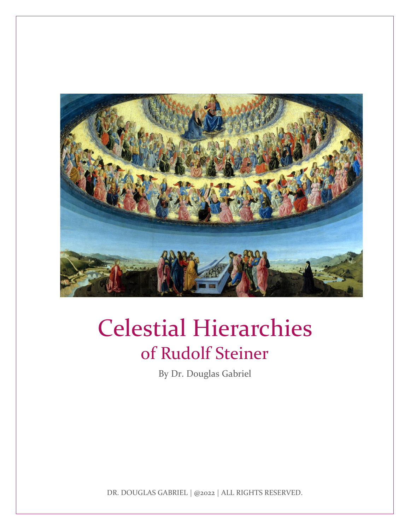

# Celestial Hierarchies of Rudolf Steiner

By Dr. Douglas Gabriel

DR. DOUGLAS GABRIEL | @2022 | ALL RIGHTS RESERVED.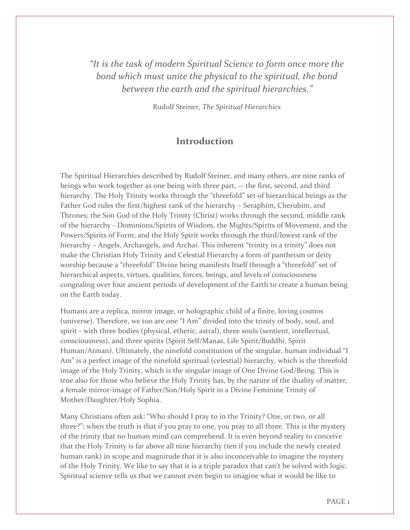*"It is the task of modern Spiritual Science to form once more the bond which must unite the physical to the spiritual, the bond between the earth and the spiritual hierarchies."*

Rudolf Steiner, *The Spiritual Hierarchies*

#### **Introduction**

The Spiritual Hierarchies described by Rudolf Steiner, and many others, are nine ranks of beings who work together as one being with three part, -- the first, second, and third hierarchy. The Holy Trinity works through the "threefold" set of hierarchical beings as the Father God rules the first/highest rank of the hierarchy – Seraphim, Cherubim, and Thrones; the Son God of the Holy Trinity (Christ) works through the second, middle rank of the hierarchy - Dominions/Spirits of Wisdom, the Mights/Spirits of Movement, and the Powers/Spirits of Form; and the Holy Spirit works through the third/lowest rank of the hierarchy – Angels, Archangels, and Archai. This inherent "trinity in a trinity" does not make the Christian Holy Trinity and Celestial Hierarchy a form of pantheism or deity worship because a "threefold" Divine being manifests Itself through a "threefold" set of hierarchical aspects, virtues, qualities, forces, beings, and levels of consciousness congealing over four ancient periods of development of the Earth to create a human being on the Earth today.

Humans are a replica, mirror image, or holographic child of a finite, loving cosmos (universe). Therefore, we too are one "I Am" divided into the trinity of body, soul, and spirit - with three bodies (physical, etheric, astral), three souls (sentient, intellectual, consciousness), and three spirits (Spirit Self/Manas, Life Spirit/Buddhi, Spirit Human/Atman). Ultimately, the ninefold constitution of the singular, human individual "I Am" is a perfect image of the ninefold spiritual (celestial) hierarchy, which is the threefold image of the Holy Trinity, which is the singular image of One Divine God/Being. This is true also for those who believe the Holy Trinity has, by the nature of the duality of matter, a female mirror-image of Father/Son/Holy Spirit in a Divine Feminine Trinity of Mother/Daughter/Holy Sophia.

Many Christians often ask: "Who should I pray to in the Trinity? One, or two, or all three?"; when the truth is that if you pray to one, you pray to all three. This is the mystery of the trinity that no human mind can comprehend. It is even beyond reality to conceive that the Holy Trinity is far above all nine hierarchy (ten if you include the newly created human rank) in scope and magnitude that it is also inconceivable to imagine the mystery of the Holy Trinity. We like to say that it is a triple paradox that can't be solved with logic. Spiritual science tells us that we cannot even begin to imagine what it would be like to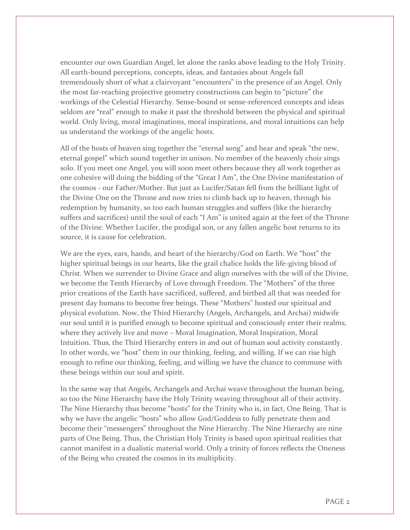encounter our own Guardian Angel, let alone the ranks above leading to the Holy Trinity. All earth-bound perceptions, concepts, ideas, and fantasies about Angels fall tremendously short of what a clairvoyant "encounters" in the presence of an Angel. Only the most far-reaching projective geometry constructions can begin to "picture" the workings of the Celestial Hierarchy. Sense-bound or sense-referenced concepts and ideas seldom are "real" enough to make it past the threshold between the physical and spiritual world. Only living, moral imaginations, moral inspirations, and moral intuitions can help us understand the workings of the angelic hosts.

All of the hosts of heaven sing together the "eternal song" and hear and speak "the new, eternal gospel" which sound together in unison. No member of the heavenly choir sings solo. If you meet one Angel, you will soon meet others because they all work together as one cohesive will doing the bidding of the "Great I Am", the One Divine manifestation of the cosmos - our Father/Mother. But just as Lucifer/Satan fell from the brilliant light of the Divine One on the Throne and now tries to climb back up to heaven, through his redemption by humanity, so too each human struggles and suffers (like the hierarchy suffers and sacrifices) until the soul of each "I Am" is united again at the feet of the Throne of the Divine. Whether Lucifer, the prodigal son, or any fallen angelic host returns to its source, it is cause for celebration.

We are the eyes, ears, hands, and heart of the hierarchy/God on Earth. We "host" the higher spiritual beings in our hearts, like the grail chalice holds the life-giving blood of Christ. When we surrender to Divine Grace and align ourselves with the will of the Divine, we become the Tenth Hierarchy of Love through Freedom. The "Mothers" of the three prior creations of the Earth have sacrificed, suffered, and birthed all that was needed for present day humans to become free beings. These "Mothers" hosted our spiritual and physical evolution. Now, the Third Hierarchy (Angels, Archangels, and Archai) midwife our soul until it is purified enough to become spiritual and consciously enter their realms, where they actively live and move – Moral Imagination, Moral Inspiration, Moral Intuition. Thus, the Third Hierarchy enters in and out of human soul activity constantly. In other words, we "host" them in our thinking, feeling, and willing. If we can rise high enough to refine our thinking, feeling, and willing we have the chance to commune with these beings within our soul and spirit.

In the same way that Angels, Archangels and Archai weave throughout the human being, so too the Nine Hierarchy have the Holy Trinity weaving throughout all of their activity. The Nine Hierarchy thus become "hosts" for the Trinity who is, in fact, One Being. That is why we have the angelic "hosts" who allow God/Goddess to fully penetrate them and become their "messengers" throughout the Nine Hierarchy. The Nine Hierarchy are nine parts of One Being. Thus, the Christian Holy Trinity is based upon spiritual realities that cannot manifest in a dualistic material world. Only a trinity of forces reflects the Oneness of the Being who created the cosmos in its multiplicity.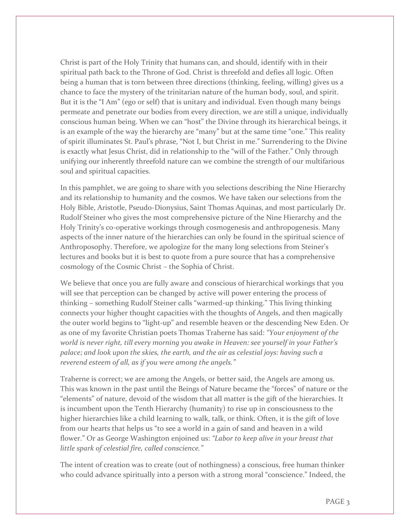Christ is part of the Holy Trinity that humans can, and should, identify with in their spiritual path back to the Throne of God. Christ is threefold and defies all logic. Often being a human that is torn between three directions (thinking, feeling, willing) gives us a chance to face the mystery of the trinitarian nature of the human body, soul, and spirit. But it is the "I Am" (ego or self) that is unitary and individual. Even though many beings permeate and penetrate our bodies from every direction, we are still a unique, individually conscious human being. When we can "host" the Divine through its hierarchical beings, it is an example of the way the hierarchy are "many" but at the same time "one." This reality of spirit illuminates St. Paul's phrase, "Not I, but Christ in me." Surrendering to the Divine is exactly what Jesus Christ, did in relationship to the "will of the Father." Only through unifying our inherently threefold nature can we combine the strength of our multifarious soul and spiritual capacities.

In this pamphlet, we are going to share with you selections describing the Nine Hierarchy and its relationship to humanity and the cosmos. We have taken our selections from the Holy Bible, Aristotle, Pseudo-Dionysius, Saint Thomas Aquinas, and most particularly Dr. Rudolf Steiner who gives the most comprehensive picture of the Nine Hierarchy and the Holy Trinity's co-operative workings through cosmogenesis and anthropogenesis. Many aspects of the inner nature of the hierarchies can only be found in the spiritual science of Anthroposophy. Therefore, we apologize for the many long selections from Steiner's lectures and books but it is best to quote from a pure source that has a comprehensive cosmology of the Cosmic Christ – the Sophia of Christ.

We believe that once you are fully aware and conscious of hierarchical workings that you will see that perception can be changed by active will power entering the process of thinking – something Rudolf Steiner calls "warmed-up thinking." This living thinking connects your higher thought capacities with the thoughts of Angels, and then magically the outer world begins to "light-up" and resemble heaven or the descending New Eden. Or as one of my favorite Christian poets Thomas Traherne has said: *"Your enjoyment of the world is never right, till every morning you awake in Heaven: see yourself in your Father's palace; and look upon the skies, the earth, and the air as celestial joys: having such a reverend esteem of all, as if you were among the angels."*

Traherne is correct; we are among the Angels, or better said, the Angels are among us. This was known in the past until the Beings of Nature became the "forces" of nature or the "elements" of nature, devoid of the wisdom that all matter is the gift of the hierarchies. It is incumbent upon the Tenth Hierarchy (humanity) to rise up in consciousness to the higher hierarchies like a child learning to walk, talk, or think. Often, it is the gift of love from our hearts that helps us "to see a world in a gain of sand and heaven in a wild flower." Or as George Washington enjoined us: *"Labor to keep alive in your breast that little spark of celestial fire, called conscience."*

The intent of creation was to create (out of nothingness) a conscious, free human thinker who could advance spiritually into a person with a strong moral "conscience." Indeed, the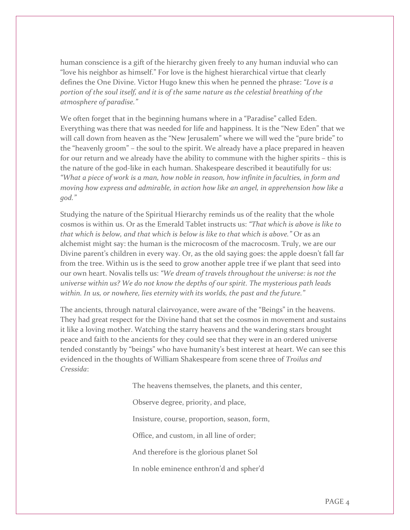human conscience is a gift of the hierarchy given freely to any human induvial who can "love his neighbor as himself." For love is the highest hierarchical virtue that clearly defines the One Divine. Victor Hugo knew this when he penned the phrase: *"Love is a portion of the soul itself, and it is of the same nature as the celestial breathing of the atmosphere of paradise."*

We often forget that in the beginning humans where in a "Paradise" called Eden. Everything was there that was needed for life and happiness. It is the "New Eden" that we will call down from heaven as the "New Jerusalem" where we will wed the "pure bride" to the "heavenly groom" – the soul to the spirit. We already have a place prepared in heaven for our return and we already have the ability to commune with the higher spirits – this is the nature of the god-like in each human. Shakespeare described it beautifully for us: *"What a piece of work is a man, how noble in reason, how infinite in faculties, in form and moving how express and admirable, in action how like an angel, in apprehension how like a god."*

Studying the nature of the Spiritual Hierarchy reminds us of the reality that the whole cosmos is within us. Or as the Emerald Tablet instructs us: *"That which is above is like to that which is below, and that which is below is like to that which is above."* Or as an alchemist might say: the human is the microcosm of the macrocosm. Truly, we are our Divine parent's children in every way. Or, as the old saying goes: the apple doesn't fall far from the tree. Within us is the seed to grow another apple tree if we plant that seed into our own heart. Novalis tells us: *"We dream of travels throughout the universe: is not the universe within us? We do not know the depths of our spirit. The mysterious path leads within. In us, or nowhere, lies eternity with its worlds, the past and the future."*

The ancients, through natural clairvoyance, were aware of the "Beings" in the heavens. They had great respect for the Divine hand that set the cosmos in movement and sustains it like a loving mother. Watching the starry heavens and the wandering stars brought peace and faith to the ancients for they could see that they were in an ordered universe tended constantly by "beings" who have humanity's best interest at heart. We can see this evidenced in the thoughts of William Shakespeare from scene three of *Troilus and Cressida*:

The heavens themselves, the planets, and this center,

Observe degree, priority, and place,

Insisture, course, proportion, season, form,

Office, and custom, in all line of order;

And therefore is the glorious planet Sol

In noble eminence enthron'd and spher'd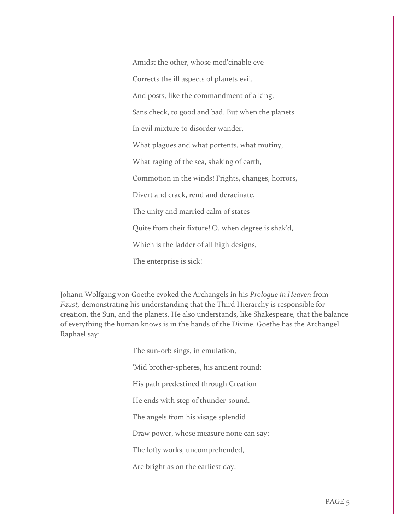Amidst the other, whose med'cinable eye Corrects the ill aspects of planets evil, And posts, like the commandment of a king, Sans check, to good and bad. But when the planets In evil mixture to disorder wander, What plagues and what portents, what mutiny, What raging of the sea, shaking of earth, Commotion in the winds! Frights, changes, horrors, Divert and crack, rend and deracinate, The unity and married calm of states Quite from their fixture! O, when degree is shak'd, Which is the ladder of all high designs, The enterprise is sick!

Johann Wolfgang von Goethe evoked the Archangels in his *Prologue in Heaven* from *Faust,* demonstrating his understanding that the Third Hierarchy is responsible for creation, the Sun, and the planets. He also understands, like Shakespeare, that the balance of everything the human knows is in the hands of the Divine. Goethe has the Archangel Raphael say:

> The sun-orb sings, in emulation, 'Mid brother-spheres, his ancient round: His path predestined through Creation He ends with step of thunder-sound. The angels from his visage splendid Draw power, whose measure none can say; The lofty works, uncomprehended, Are bright as on the earliest day.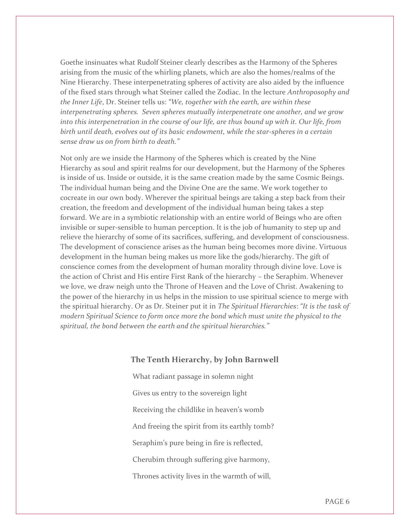Goethe insinuates what Rudolf Steiner clearly describes as the Harmony of the Spheres arising from the music of the whirling planets, which are also the homes/realms of the Nine Hierarchy. These interpenetrating spheres of activity are also aided by the influence of the fixed stars through what Steiner called the Zodiac. In the lecture *Anthroposophy and the Inner Life*, Dr. Steiner tells us: *"We, together with the earth, are within these interpenetrating spheres. Seven spheres mutually interpenetrate one another, and we grow into this interpenetration in the course of our life, are thus bound up with it. Our life, from birth until death, evolves out of its basic endowment, while the star-spheres in a certain sense draw us on from birth to death."*

Not only are we inside the Harmony of the Spheres which is created by the Nine Hierarchy as soul and spirit realms for our development, but the Harmony of the Spheres is inside of us. Inside or outside, it is the same creation made by the same Cosmic Beings. The individual human being and the Divine One are the same. We work together to cocreate in our own body. Wherever the spiritual beings are taking a step back from their creation, the freedom and development of the individual human being takes a step forward. We are in a symbiotic relationship with an entire world of Beings who are often invisible or super-sensible to human perception. It is the job of humanity to step up and relieve the hierarchy of some of its sacrifices, suffering, and development of consciousness. The development of conscience arises as the human being becomes more divine. Virtuous development in the human being makes us more like the gods/hierarchy. The gift of conscience comes from the development of human morality through divine love. Love is the action of Christ and His entire First Rank of the hierarchy – the Seraphim. Whenever we love, we draw neigh unto the Throne of Heaven and the Love of Christ. Awakening to the power of the hierarchy in us helps in the mission to use spiritual science to merge with the spiritual hierarchy. Or as Dr. Steiner put it in *The Spiritual Hierarchies*: *"It is the task of modern Spiritual Science to form once more the bond which must unite the physical to the spiritual, the bond between the earth and the spiritual hierarchies."* 

#### **The Tenth Hierarchy, by John Barnwell**

What radiant passage in solemn night Gives us entry to the sovereign light Receiving the childlike in heaven's womb And freeing the spirit from its earthly tomb? Seraphim's pure being in fire is reflected, Cherubim through suffering give harmony, Thrones activity lives in the warmth of will,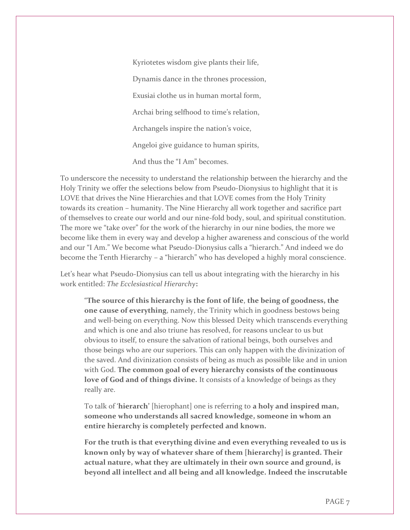Kyriotetes wisdom give plants their life, Dynamis dance in the thrones procession, Exusiai clothe us in human mortal form, Archai bring selfhood to time's relation, Archangels inspire the nation's voice, Angeloi give guidance to human spirits, And thus the "I Am" becomes.

To underscore the necessity to understand the relationship between the hierarchy and the Holy Trinity we offer the selections below from Pseudo-Dionysius to highlight that it is LOVE that drives the Nine Hierarchies and that LOVE comes from the Holy Trinity towards its creation – humanity. The Nine Hierarchy all work together and sacrifice part of themselves to create our world and our nine-fold body, soul, and spiritual constitution. The more we "take over" for the work of the hierarchy in our nine bodies, the more we become like them in every way and develop a higher awareness and conscious of the world and our "I Am." We become what Pseudo-Dionysius calls a "hierarch." And indeed we do become the Tenth Hierarchy – a "hierarch" who has developed a highly moral conscience.

Let's hear what Pseudo-Dionysius can tell us about integrating with the hierarchy in his work entitled: *The Ecclesiastical Hierarchy***:**

"**The source of this hierarchy is the font of life**, **the being of goodness, the one cause of everything**, namely, the Trinity which in goodness bestows being and well-being on everything. Now this blessed Deity which transcends everything and which is one and also triune has resolved, for reasons unclear to us but obvious to itself, to ensure the salvation of rational beings, both ourselves and those beings who are our superiors. This can only happen with the divinization of the saved. And divinization consists of being as much as possible like and in union with God. **The common goal of every hierarchy consists of the continuous love of God and of things divine.** It consists of a knowledge of beings as they really are.

To talk of '**hierarch'** [hierophant] one is referring to **a holy and inspired man, someone who understands all sacred knowledge, someone in whom an entire hierarchy is completely perfected and known.**

**For the truth is that everything divine and even everything revealed to us is known only by way of whatever share of them [hierarchy] is granted. Their actual nature, what they are ultimately in their own source and ground, is beyond all intellect and all being and all knowledge. Indeed the inscrutable**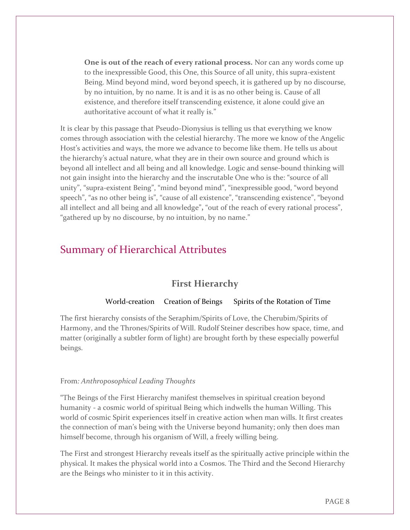**One is out of the reach of every rational process.** Nor can any words come up to the inexpressible Good, this One, this Source of all unity, this supra-existent Being. Mind beyond mind, word beyond speech, it is gathered up by no discourse, by no intuition, by no name. It is and it is as no other being is. Cause of all existence, and therefore itself transcending existence, it alone could give an authoritative account of what it really is."

It is clear by this passage that Pseudo-Dionysius is telling us that everything we know comes through association with the celestial hierarchy. The more we know of the Angelic Host's activities and ways, the more we advance to become like them. He tells us about the hierarchy's actual nature, what they are in their own source and ground which is beyond all intellect and all being and all knowledge. Logic and sense-bound thinking will not gain insight into the hierarchy and the inscrutable One who is the: "source of all unity", "supra-existent Being", "mind beyond mind", "inexpressible good, "word beyond speech", "as no other being is", "cause of all existence", "transcending existence", "beyond all intellect and all being and all knowledge"**,** "out of the reach of every rational process", "gathered up by no discourse, by no intuition, by no name."

# Summary of Hierarchical Attributes

#### **First Hierarchy**

#### World-creation Creation of Beings Spirits of the Rotation of Time

The first hierarchy consists of the Seraphim/Spirits of Love, the Cherubim/Spirits of Harmony, and the Thrones/Spirits of Will. Rudolf Steiner describes how space, time, and matter (originally a subtler form of light) are brought forth by these especially powerful beings.

#### From*: Anthroposophical Leading Thoughts*

"The Beings of the First Hierarchy manifest themselves in spiritual creation beyond humanity - a cosmic world of spiritual Being which indwells the human Willing. This world of cosmic Spirit experiences itself in creative action when man wills. It first creates the connection of man's being with the Universe beyond humanity; only then does man himself become, through his organism of Will, a freely willing being.

The First and strongest Hierarchy reveals itself as the spiritually active principle within the physical. It makes the physical world into a Cosmos. The Third and the Second Hierarchy are the Beings who minister to it in this activity.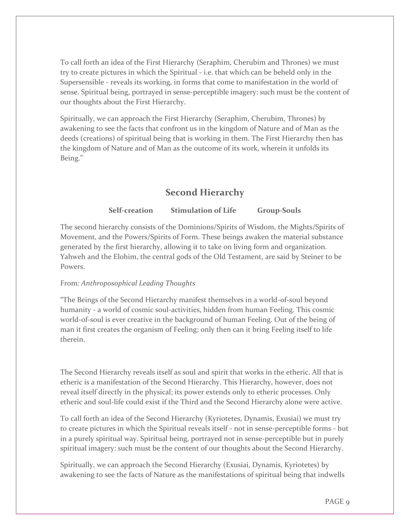To call forth an idea of the First Hierarchy (Seraphim, Cherubim and Thrones) we must try to create pictures in which the Spiritual - i.e. that which can be beheld only in the Supersensible - reveals its working, in forms that come to manifestation in the world of sense. Spiritual being, portrayed in sense-perceptible imagery: such must be the content of our thoughts about the First Hierarchy.

Spiritually, we can approach the First Hierarchy (Seraphim, Cherubim, Thrones) by awakening to see the facts that confront us in the kingdom of Nature and of Man as the deeds (creations) of spiritual being that is working in them. The First Hierarchy then has the kingdom of Nature and of Man as the outcome of its work, wherein it unfolds its Being."

# **Second Hierarchy**

#### **Self-creation Stimulation of Life Group-Souls**

The second hierarchy consists of the Dominions/Spirits of Wisdom, the Mights/Spirits of Movement, and the Powers/Spirits of Form. These beings awaken the material substance generated by the first hierarchy, allowing it to take on living form and organization. Yahweh and the Elohim, the central gods of the Old Testament, are said by Steiner to be Powers.

#### From*: Anthroposophical Leading Thoughts*

"The Beings of the Second Hierarchy manifest themselves in a world-of-soul beyond humanity - a world of cosmic soul-activities, hidden from human Feeling. This cosmic world-of-soul is ever creative in the background of human Feeling. Out of the being of man it first creates the organism of Feeling; only then can it bring Feeling itself to life therein.

The Second Hierarchy reveals itself as soul and spirit that works in the etheric. All that is etheric is a manifestation of the Second Hierarchy. This Hierarchy, however, does not reveal itself directly in the physical; its power extends only to etheric processes. Only etheric and soul-life could exist if the Third and the Second Hierarchy alone were active.

To call forth an idea of the Second Hierarchy (Kyriotetes, Dynamis, Exusiai) we must try to create pictures in which the Spiritual reveals itself - not in sense-perceptible forms - but in a purely spiritual way. Spiritual being, portrayed not in sense-perceptible but in purely spiritual imagery: such must be the content of our thoughts about the Second Hierarchy.

Spiritually, we can approach the Second Hierarchy (Exusiai, Dynamis, Kyriotetes) by awakening to see the facts of Nature as the manifestations of spiritual being that indwells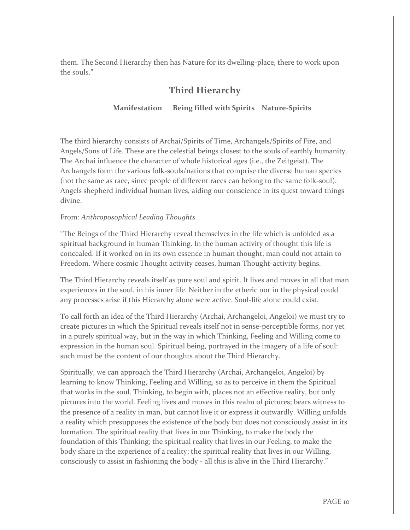them. The Second Hierarchy then has Nature for its dwelling-place, there to work upon the souls."

# **Third Hierarchy**

#### **Manifestation Being filled with Spirits Nature-Spirits**

The third hierarchy consists of Archai/Spirits of Time, Archangels/Spirits of Fire, and Angels/Sons of Life. These are the celestial beings closest to the souls of earthly humanity. The Archai influence the character of whole historical ages (i.e., the Zeitgeist). The Archangels form the various folk-souls/nations that comprise the diverse human species (not the same as race, since people of different races can belong to the same folk-soul). Angels shepherd individual human lives, aiding our conscience in its quest toward things divine.

#### From*: Anthroposophical Leading Thoughts*

"The Beings of the Third Hierarchy reveal themselves in the life which is unfolded as a spiritual background in human Thinking. In the human activity of thought this life is concealed. If it worked on in its own essence in human thought, man could not attain to Freedom. Where cosmic Thought activity ceases, human Thought-activity begins.

The Third Hierarchy reveals itself as pure soul and spirit. It lives and moves in all that man experiences in the soul, in his inner life. Neither in the etheric nor in the physical could any processes arise if this Hierarchy alone were active. Soul-life alone could exist.

To call forth an idea of the Third Hierarchy (Archai, Archangeloi, Angeloi) we must try to create pictures in which the Spiritual reveals itself not in sense-perceptible forms, nor yet in a purely spiritual way, but in the way in which Thinking, Feeling and Willing come to expression in the human soul. Spiritual being, portrayed in the imagery of a life of soul: such must be the content of our thoughts about the Third Hierarchy.

Spiritually, we can approach the Third Hierarchy (Archai, Archangeloi, Angeloi) by learning to know Thinking, Feeling and Willing, so as to perceive in them the Spiritual that works in the soul. Thinking, to begin with, places not an effective reality, but only pictures into the world. Feeling lives and moves in this realm of pictures; bears witness to the presence of a reality in man, but cannot live it or express it outwardly. Willing unfolds a reality which presupposes the existence of the body but does not consciously assist in its formation. The spiritual reality that lives in our Thinking, to make the body the foundation of this Thinking; the spiritual reality that lives in our Feeling, to make the body share in the experience of a reality; the spiritual reality that lives in our Willing, consciously to assist in fashioning the body - all this is alive in the Third Hierarchy."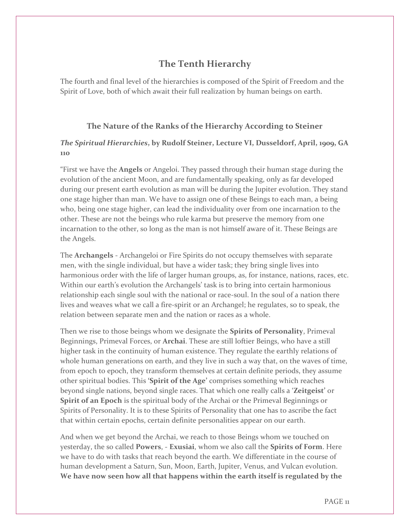# **The Tenth Hierarchy**

The fourth and final level of the hierarchies is composed of the Spirit of Freedom and the Spirit of Love, both of which await their full realization by human beings on earth.

#### **The Nature of the Ranks of the Hierarchy According to Steiner**

#### *The Spiritual Hierarchies***, by Rudolf Steiner, Lecture VI, Dusseldorf, April, 1909, GA 110**

"First we have the **Angels** or Angeloi. They passed through their human stage during the evolution of the ancient Moon, and are fundamentally speaking, only as far developed during our present earth evolution as man will be during the Jupiter evolution. They stand one stage higher than man. We have to assign one of these Beings to each man, a being who, being one stage higher, can lead the individuality over from one incarnation to the other. These are not the beings who rule karma but preserve the memory from one incarnation to the other, so long as the man is not himself aware of it. These Beings are the Angels.

The **Archangels** - Archangeloi or Fire Spirits do not occupy themselves with separate men, with the single individual, but have a wider task; they bring single lives into harmonious order with the life of larger human groups, as, for instance, nations, races, etc. Within our earth's evolution the Archangels' task is to bring into certain harmonious relationship each single soul with the national or race-soul. In the soul of a nation there lives and weaves what we call a fire-spirit or an Archangel; he regulates, so to speak, the relation between separate men and the nation or races as a whole.

Then we rise to those beings whom we designate the **Spirits of Personality**, Primeval Beginnings, Primeval Forces, or **Archai**. These are still loftier Beings, who have a still higher task in the continuity of human existence. They regulate the earthly relations of whole human generations on earth, and they live in such a way that, on the waves of time, from epoch to epoch, they transform themselves at certain definite periods, they assume other spiritual bodies. This **'Spirit of the Age'** comprises something which reaches beyond single nations, beyond single races. That which one really calls a '**Zeitgeist'** or **Spirit of an Epoch** is the spiritual body of the Archai or the Primeval Beginnings or Spirits of Personality. It is to these Spirits of Personality that one has to ascribe the fact that within certain epochs, certain definite personalities appear on our earth.

And when we get beyond the Archai, we reach to those Beings whom we touched on yesterday, the so called **Powers**, - **Exusiai**, whom we also call the **Spirits of Form**. Here we have to do with tasks that reach beyond the earth. We differentiate in the course of human development a Saturn, Sun, Moon, Earth, Jupiter, Venus, and Vulcan evolution. **We have now seen how all that happens within the earth itself is regulated by the**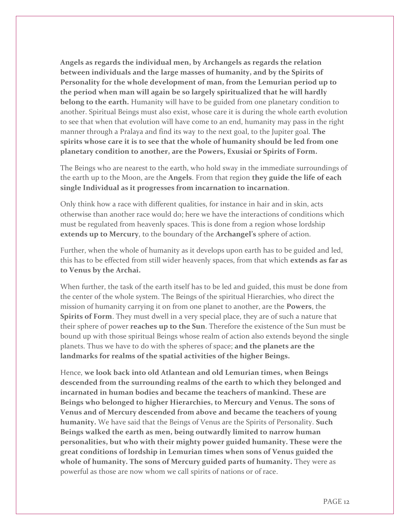**Angels as regards the individual men, by Archangels as regards the relation between individuals and the large masses of humanity, and by the Spirits of Personality for the whole development of man, from the Lemurian period up to the period when man will again be so largely spiritualized that he will hardly belong to the earth.** Humanity will have to be guided from one planetary condition to another. Spiritual Beings must also exist, whose care it is during the whole earth evolution to see that when that evolution will have come to an end, humanity may pass in the right manner through a Pralaya and find its way to the next goal, to the Jupiter goal. **The spirits whose care it is to see that the whole of humanity should be led from one planetary condition to another, are the Powers, Exusiai or Spirits of Form.**

The Beings who are nearest to the earth, who hold sway in the immediate surroundings of the earth up to the Moon, are the **Angels**. From that region **they guide the life of each single Individual as it progresses from incarnation to incarnation**.

Only think how a race with different qualities, for instance in hair and in skin, acts otherwise than another race would do; here we have the interactions of conditions which must be regulated from heavenly spaces. This is done from a region whose lordship **extends up to Mercury**, to the boundary of the **Archangel's** sphere of action.

Further, when the whole of humanity as it develops upon earth has to be guided and led, this has to be effected from still wider heavenly spaces, from that which **extends as far as to Venus by the Archai.**

When further, the task of the earth itself has to be led and guided, this must be done from the center of the whole system. The Beings of the spiritual Hierarchies, who direct the mission of humanity carrying it on from one planet to another, are the **Powers**, the **Spirits of Form**. They must dwell in a very special place, they are of such a nature that their sphere of power **reaches up to the Sun**. Therefore the existence of the Sun must be bound up with those spiritual Beings whose realm of action also extends beyond the single planets. Thus we have to do with the spheres of space; **and the planets are the landmarks for realms of the spatial activities of the higher Beings.** 

Hence, **we look back into old Atlantean and old Lemurian times, when Beings descended from the surrounding realms of the earth to which they belonged and incarnated in human bodies and became the teachers of mankind. These are Beings who belonged to higher Hierarchies, to Mercury and Venus. The sons of Venus and of Mercury descended from above and became the teachers of young humanity.** We have said that the Beings of Venus are the Spirits of Personality. **Such Beings walked the earth as men, being outwardly limited to narrow human personalities, but who with their mighty power guided humanity. These were the great conditions of lordship in Lemurian times when sons of Venus guided the whole of humanity. The sons of Mercury guided parts of humanity.** They were as powerful as those are now whom we call spirits of nations or of race.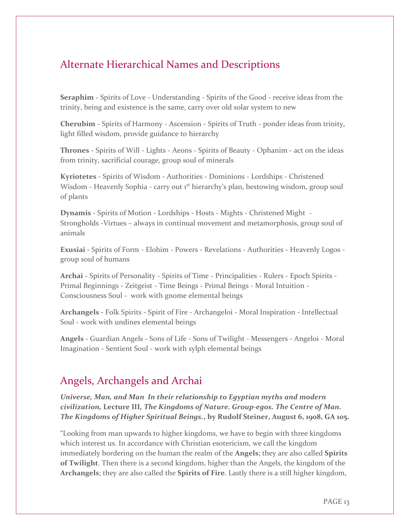# Alternate Hierarchical Names and Descriptions

**Seraphim** - Spirits of Love - Understanding - Spirits of the Good - receive ideas from the trinity, being and existence is the same, carry over old solar system to new

**Cherubim** - Spirits of Harmony - Ascension - Spirits of Truth - ponder ideas from trinity, light filled wisdom, provide guidance to hierarchy

**Thrones** - Spirits of Will - Lights - Aeons - Spirits of Beauty - Ophanim - act on the ideas from trinity, sacrificial courage, group soul of minerals

**Kyriotetes** - Spirits of Wisdom - Authorities - Dominions - Lordships - Christened Wisdom - Heavenly Sophia - carry out 1<sup>st</sup> hierarchy's plan, bestowing wisdom, group soul of plants

**Dynamis** - Spirits of Motion - Lordships - Hosts - Mights - Christened Might -Strongholds -Virtues – always in continual movement and metamorphosis, group soul of animals

**Exusiai -** Spirits of Form - Elohim - Powers - Revelations - Authorities - Heavenly Logos group soul of humans

**Archai** - Spirits of Personality - Spirits of Time - Principalities - Rulers - Epoch Spirits - Primal Beginnings - Zeitgeist - Time Beings - Primal Beings - Moral Intuition - Consciousness Soul - work with gnome elemental beings

**Archangels -** Folk Spirits - Spirit of Fire - Archangeloi - Moral Inspiration - Intellectual Soul - work with undines elemental beings

**Angels** - Guardian Angels - Sons of Life - Sons of Twilight - Messengers - Angeloi - Moral Imagination - Sentient Soul - work with sylph elemental beings

# Angels, Archangels and Archai

*Universe, Man, and Man In their relationship to Egyptian myths and modern civilization,* **Lecture III***, The Kingdoms of Nature. Group-egos. The Centre of Man. The Kingdoms of Higher Spiritual Beings.***, by Rudolf Steiner, August 6, 1908, GA 105.**

"Looking from man upwards to higher kingdoms, we have to begin with three kingdoms which interest us. In accordance with Christian esotericism, we call the kingdom immediately bordering on the human the realm of the **Angels**; they are also called **Spirits of Twilight**. Then there is a second kingdom, higher than the Angels, the kingdom of the **Archangels**; they are also called the **Spirits of Fire**. Lastly there is a still higher kingdom,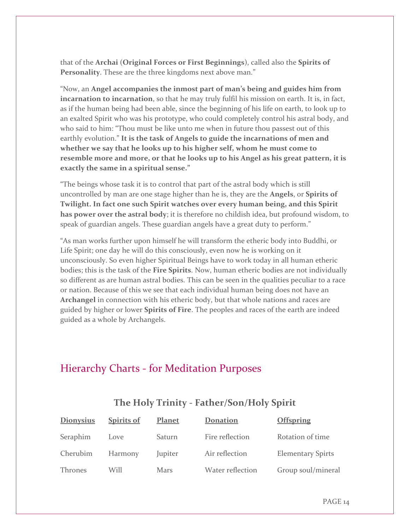that of the **Archai** (**Original Forces or First Beginnings**), called also the **Spirits of Personality**. These are the three kingdoms next above man."

"Now, an **Angel accompanies the inmost part of man's being and guides him from incarnation to incarnation**, so that he may truly fulfil his mission on earth. It is, in fact, as if the human being had been able, since the beginning of his life on earth, to look up to an exalted Spirit who was his prototype, who could completely control his astral body, and who said to him: "Thou must be like unto me when in future thou passest out of this earthly evolution." **It is the task of Angels to guide the incarnations of men and whether we say that he looks up to his higher self, whom he must come to resemble more and more, or that he looks up to his Angel as his great pattern, it is exactly the same in a spiritual sense."**

"The beings whose task it is to control that part of the astral body which is still uncontrolled by man are one stage higher than he is, they are the **Angels**, or **Spirits of Twilight. In fact one such Spirit watches over every human being, and this Spirit has power over the astral body**; it is therefore no childish idea, but profound wisdom, to speak of guardian angels. These guardian angels have a great duty to perform."

"As man works further upon himself he will transform the etheric body into Buddhi, or Life Spirit; one day he will do this consciously, even now he is working on it unconsciously. So even higher Spiritual Beings have to work today in all human etheric bodies; this is the task of the **Fire Spirits**. Now, human etheric bodies are not individually so different as are human astral bodies. This can be seen in the qualities peculiar to a race or nation. Because of this we see that each individual human being does not have an **Archangel** in connection with his etheric body, but that whole nations and races are guided by higher or lower **Spirits of Fire**. The peoples and races of the earth are indeed guided as a whole by Archangels.

# Hierarchy Charts - for Meditation Purposes

| <b>Dionysius</b> | <b>Spirits of</b> | <b>Planet</b> | <b>Donation</b>  | <b>Offspring</b>         |
|------------------|-------------------|---------------|------------------|--------------------------|
| Seraphim         | Love              | Saturn        | Fire reflection  | Rotation of time         |
| Cherubim         | Harmony           | Jupiter       | Air reflection   | <b>Elementary Spirts</b> |
| Thrones          | Will              | Mars          | Water reflection | Group soul/mineral       |

# **The Holy Trinity - Father/Son/Holy Spirit**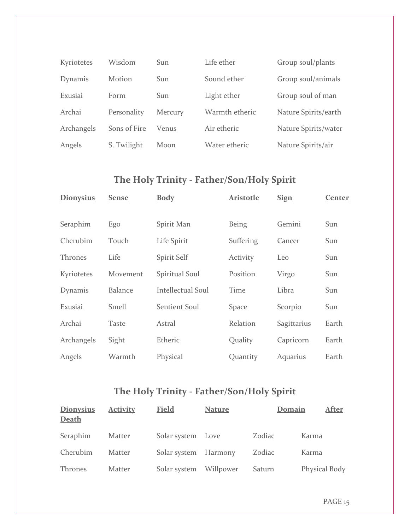| Kyriotetes | Wisdom        | Sun        | Life ether     | Group soul/plants    |
|------------|---------------|------------|----------------|----------------------|
| Dynamis    | <b>Motion</b> | <b>Sun</b> | Sound ether    | Group soul/animals   |
| Exusiai    | Form          | <b>Sun</b> | Light ether    | Group soul of man    |
| Archai     | Personality   | Mercury    | Warmth etheric | Nature Spirits/earth |
| Archangels | Sons of Fire  | Venus      | Air etheric    | Nature Spirits/water |
| Angels     | S. Twilight   | Moon       | Water etheric  | Nature Spirits/air   |

# **The Holy Trinity - Father/Son/Holy Spirit**

| <b>Dionysius</b> | <b>Sense</b>   | <b>Body</b>              | <b>Aristotle</b> | <b>Sign</b> | <b>Center</b> |
|------------------|----------------|--------------------------|------------------|-------------|---------------|
| Seraphim         | Ego            | Spirit Man               | <b>Being</b>     | Gemini      | Sun           |
| Cherubim         | Touch          | Life Spirit              | Suffering        | Cancer      | Sun           |
| <b>Thrones</b>   | Life           | Spirit Self              | Activity         | Leo         | Sun           |
| Kyriotetes       | Movement       | Spiritual Soul           | Position         | Virgo       | Sun           |
| Dynamis          | <b>Balance</b> | <b>Intellectual Soul</b> | Time             | Libra       | Sun           |
| Exusiai          | Smell          | Sentient Soul            | Space            | Scorpio     | Sun           |
| Archai           | Taste          | Astral                   | Relation         | Sagittarius | Earth         |
| Archangels       | Sight          | Etheric                  | Quality          | Capricorn   | Earth         |
| Angels           | Warmth         | Physical                 | Quantity         | Aquarius    | Earth         |
|                  |                |                          |                  |             |               |

# **The Holy Trinity - Father/Son/Holy Spirit**

| <b>Dionysius</b><br>Death | <b>Activity</b> | <b>Field</b>         | <b>Nature</b> | Domain | After         |
|---------------------------|-----------------|----------------------|---------------|--------|---------------|
| Seraphim                  | Matter          | Solar system Love    |               | Zodiac | Karma         |
| Cherubim                  | Matter          | Solar system Harmony |               | Zodiac | Karma         |
| <b>Thrones</b>            | Matter          | Solar system         | Willpower     | Saturn | Physical Body |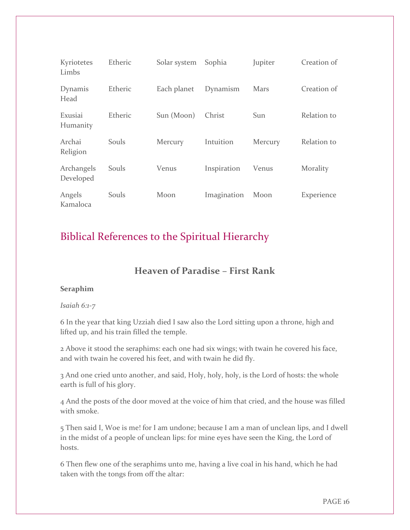| Kyriotetes<br>Limbs     | Etheric | Solar system | Sophia      | Jupiter | Creation of |
|-------------------------|---------|--------------|-------------|---------|-------------|
| Dynamis<br>Head         | Etheric | Each planet  | Dynamism    | Mars    | Creation of |
| Exusiai<br>Humanity     | Etheric | Sun (Moon)   | Christ      | Sun     | Relation to |
| Archai<br>Religion      | Souls   | Mercury      | Intuition   | Mercury | Relation to |
| Archangels<br>Developed | Souls   | Venus        | Inspiration | Venus   | Morality    |
| Angels<br>Kamaloca      | Souls   | Moon         | Imagination | Moon    | Experience  |

# Biblical References to the Spiritual Hierarchy

# **Heaven of Paradise – First Rank**

#### **Seraphim**

#### *Isaiah 6:1-7*

6 In the year that king Uzziah died I saw also the Lord sitting upon a throne, high and lifted up, and his train filled the temple.

2 Above it stood the seraphims: each one had six wings; with twain he covered his face, and with twain he covered his feet, and with twain he did fly.

3 And one cried unto another, and said, Holy, holy, holy, is the Lord of hosts: the whole earth is full of his glory.

4 And the posts of the door moved at the voice of him that cried, and the house was filled with smoke.

5 Then said I, Woe is me! for I am undone; because I am a man of unclean lips, and I dwell in the midst of a people of unclean lips: for mine eyes have seen the King, the Lord of hosts.

6 Then flew one of the seraphims unto me, having a live coal in his hand, which he had taken with the tongs from off the altar: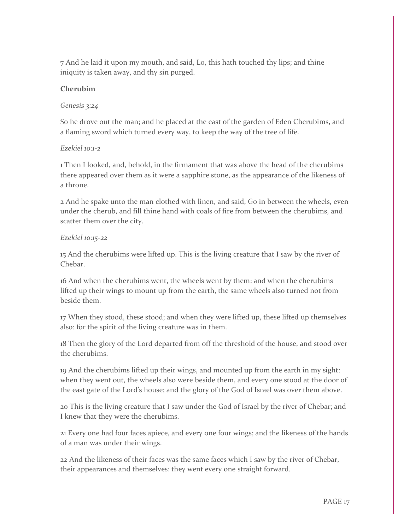7 And he laid it upon my mouth, and said, Lo, this hath touched thy lips; and thine iniquity is taken away, and thy sin purged.

#### **Cherubim**

#### *Genesis 3:24*

So he drove out the man; and he placed at the east of the garden of Eden Cherubims, and a flaming sword which turned every way, to keep the way of the tree of life.

#### *Ezekiel 10:1-2*

1 Then I looked, and, behold, in the firmament that was above the head of the cherubims there appeared over them as it were a sapphire stone, as the appearance of the likeness of a throne.

2 And he spake unto the man clothed with linen, and said, Go in between the wheels, even under the cherub, and fill thine hand with coals of fire from between the cherubims, and scatter them over the city.

#### *Ezekiel 10:15-22*

15 And the cherubims were lifted up. This is the living creature that I saw by the river of Chebar.

16 And when the cherubims went, the wheels went by them: and when the cherubims lifted up their wings to mount up from the earth, the same wheels also turned not from beside them.

17 When they stood, these stood; and when they were lifted up, these lifted up themselves also: for the spirit of the living creature was in them.

18 Then the glory of the Lord departed from off the threshold of the house, and stood over the cherubims.

19 And the cherubims lifted up their wings, and mounted up from the earth in my sight: when they went out, the wheels also were beside them, and every one stood at the door of the east gate of the Lord's house; and the glory of the God of Israel was over them above.

20 This is the living creature that I saw under the God of Israel by the river of Chebar; and I knew that they were the cherubims.

21 Every one had four faces apiece, and every one four wings; and the likeness of the hands of a man was under their wings.

22 And the likeness of their faces was the same faces which I saw by the river of Chebar, their appearances and themselves: they went every one straight forward.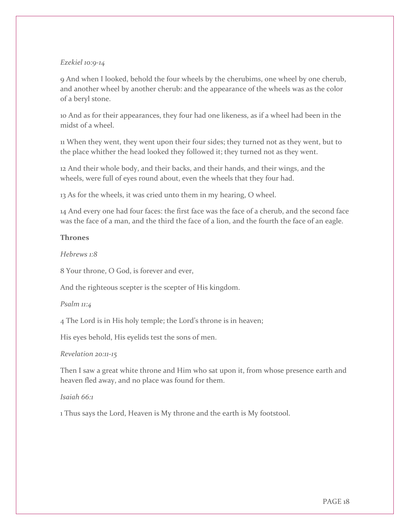#### *Ezekiel 10:9-14*

9 And when I looked, behold the four wheels by the cherubims, one wheel by one cherub, and another wheel by another cherub: and the appearance of the wheels was as the color of a beryl stone.

10 And as for their appearances, they four had one likeness, as if a wheel had been in the midst of a wheel.

11 When they went, they went upon their four sides; they turned not as they went, but to the place whither the head looked they followed it; they turned not as they went.

12 And their whole body, and their backs, and their hands, and their wings, and the wheels, were full of eyes round about, even the wheels that they four had.

13 As for the wheels, it was cried unto them in my hearing, O wheel.

14 And every one had four faces: the first face was the face of a cherub, and the second face was the face of a man, and the third the face of a lion, and the fourth the face of an eagle.

#### **Thrones**

*Hebrews 1:8*

8 Your throne, O God, is forever and ever,

And the righteous scepter is the scepter of His kingdom.

#### *Psalm 11:4*

4 The Lord is in His holy temple; the Lord's throne is in heaven;

His eyes behold, His eyelids test the sons of men.

#### *Revelation 20:11-15*

Then I saw a great white throne and Him who sat upon it, from whose presence earth and heaven fled away, and no place was found for them.

#### *Isaiah 66:1*

1 Thus says the Lord, Heaven is My throne and the earth is My footstool.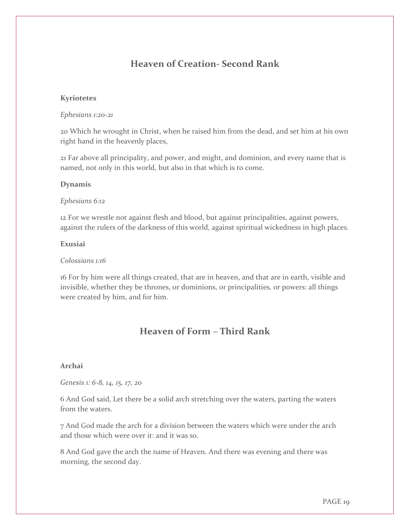# **Heaven of Creation- Second Rank**

#### **Kyriotetes**

#### *Ephesians 1:20-21*

20 Which he wrought in Christ, when he raised him from the dead, and set him at his own right hand in the heavenly places,

21 Far above all principality, and power, and might, and dominion, and every name that is named, not only in this world, but also in that which is to come.

#### **Dynamis**

#### *Ephesians 6:12*

12 For we wrestle not against flesh and blood, but against principalities, against powers, against the rulers of the darkness of this world, against spiritual wickedness in high places.

#### **Exusiai**

#### *Colossians 1:16*

16 For by him were all things created, that are in heaven, and that are in earth, visible and invisible, whether they be thrones, or dominions, or principalities, or powers: all things were created by him, and for him.

# **Heaven of Form – Third Rank**

#### **Archai**

*Genesis 1: 6-8, 14, 15, 17, 20*

6 And God said, Let there be a solid arch stretching over the waters, parting the waters from the waters.

7 And God made the arch for a division between the waters which were under the arch and those which were over it: and it was so.

8 And God gave the arch the name of Heaven. And there was evening and there was morning, the second day.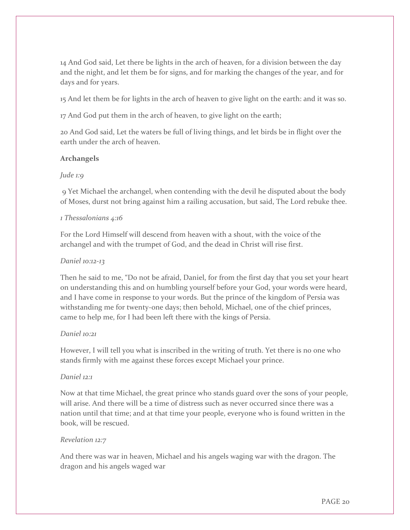14 And God said, Let there be lights in the arch of heaven, for a division between the day and the night, and let them be for signs, and for marking the changes of the year, and for days and for years.

15 And let them be for lights in the arch of heaven to give light on the earth: and it was so.

17 And God put them in the arch of heaven, to give light on the earth;

20 And God said, Let the waters be full of living things, and let birds be in flight over the earth under the arch of heaven.

#### **Archangels**

#### *Jude 1:9*

9 Yet Michael the archangel, when contending with the devil he disputed about the body of Moses, durst not bring against him a railing accusation, but said, The Lord rebuke thee.

#### *1 Thessalonians 4:16*

For the Lord Himself will descend from heaven with a shout, with the voice of the archangel and with the trumpet of God, and the dead in Christ will rise first.

#### *Daniel 10:12-13*

Then he said to me, "Do not be afraid, Daniel, for from the first day that you set your heart on understanding this and on humbling yourself before your God, your words were heard, and I have come in response to your words. But the prince of the kingdom of Persia was withstanding me for twenty-one days; then behold, Michael, one of the chief princes, came to help me, for I had been left there with the kings of Persia.

#### *Daniel 10:21*

However, I will tell you what is inscribed in the writing of truth. Yet there is no one who stands firmly with me against these forces except Michael your prince.

#### *Daniel 12:1*

Now at that time Michael, the great prince who stands guard over the sons of your people, will arise. And there will be a time of distress such as never occurred since there was a nation until that time; and at that time your people, everyone who is found written in the book, will be rescued.

#### *Revelation 12:7*

And there was war in heaven, Michael and his angels waging war with the dragon. The dragon and his angels waged war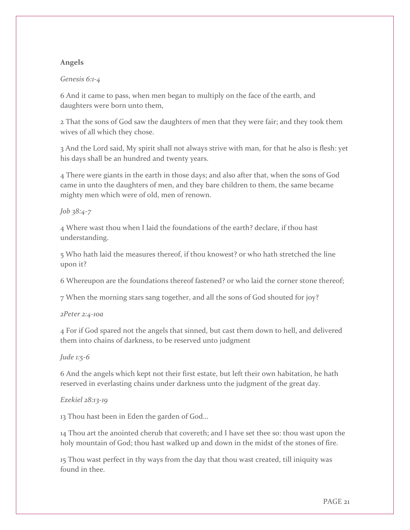#### **Angels**

#### *Genesis 6:1-4*

6 And it came to pass, when men began to multiply on the face of the earth, and daughters were born unto them,

2 That the sons of God saw the daughters of men that they were fair; and they took them wives of all which they chose.

3 And the Lord said, My spirit shall not always strive with man, for that he also is flesh: yet his days shall be an hundred and twenty years.

4 There were giants in the earth in those days; and also after that, when the sons of God came in unto the daughters of men, and they bare children to them, the same became mighty men which were of old, men of renown.

#### *Job 38:4-7*

4 Where wast thou when I laid the foundations of the earth? declare, if thou hast understanding.

5 Who hath laid the measures thereof, if thou knowest? or who hath stretched the line upon it?

6 Whereupon are the foundations thereof fastened? or who laid the corner stone thereof;

7 When the morning stars sang together, and all the sons of God shouted for joy?

#### *2Peter 2:4-10a*

4 For if God spared not the angels that sinned, but cast them down to hell, and delivered them into chains of darkness, to be reserved unto judgment

#### *Jude 1:5-6*

6 And the angels which kept not their first estate, but left their own habitation, he hath reserved in everlasting chains under darkness unto the judgment of the great day.

#### *Ezekiel 28:13-19*

13 Thou hast been in Eden the garden of God…

14 Thou art the anointed cherub that covereth; and I have set thee so: thou wast upon the holy mountain of God; thou hast walked up and down in the midst of the stones of fire.

15 Thou wast perfect in thy ways from the day that thou wast created, till iniquity was found in thee.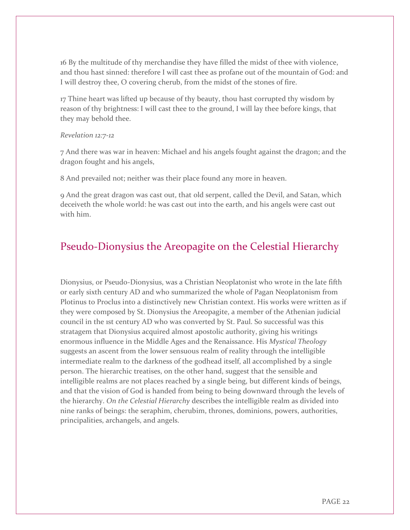16 By the multitude of thy merchandise they have filled the midst of thee with violence, and thou hast sinned: therefore I will cast thee as profane out of the mountain of God: and I will destroy thee, O covering cherub, from the midst of the stones of fire.

17 Thine heart was lifted up because of thy beauty, thou hast corrupted thy wisdom by reason of thy brightness: I will cast thee to the ground, I will lay thee before kings, that they may behold thee.

#### *Revelation 12:7-12*

7 And there was war in heaven: Michael and his angels fought against the dragon; and the dragon fought and his angels,

8 And prevailed not; neither was their place found any more in heaven.

9 And the great dragon was cast out, that old serpent, called the Devil, and Satan, which deceiveth the whole world: he was cast out into the earth, and his angels were cast out with him.

# Pseudo-Dionysius the Areopagite on the Celestial Hierarchy

Dionysius, or Pseudo-Dionysius, was a Christian Neoplatonist who wrote in the late fifth or early sixth century AD and who summarized the whole of Pagan Neoplatonism from Plotinus to Proclus into a distinctively new Christian context. His works were written as if they were composed by St. Dionysius the Areopagite, a member of the Athenian judicial council in the 1st century AD who was converted by St. Paul. So successful was this stratagem that Dionysius acquired almost apostolic authority, giving his writings enormous influence in the Middle Ages and the Renaissance. His *Mystical Theology* suggests an ascent from the lower sensuous realm of reality through the intelligible intermediate realm to the darkness of the godhead itself, all accomplished by a single person. The hierarchic treatises, on the other hand, suggest that the sensible and intelligible realms are not places reached by a single being, but different kinds of beings, and that the vision of God is handed from being to being downward through the levels of the hierarchy. *On the Celestial Hierarchy* describes the intelligible realm as divided into nine ranks of beings: the seraphim, cherubim, thrones, dominions, powers, authorities, principalities, archangels, and angels.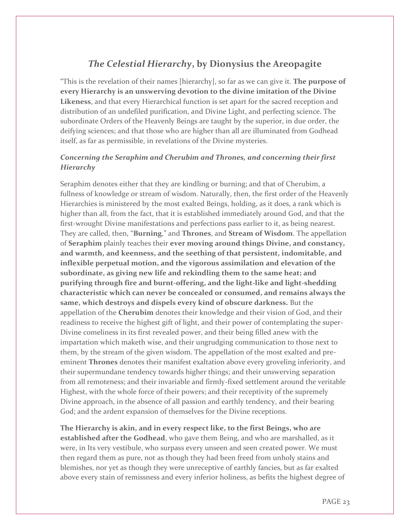# *The Celestial Hierarchy***, by Dionysius the Areopagite**

"This is the revelation of their names [hierarchy], so far as we can give it. **The purpose of every Hierarchy is an unswerving devotion to the divine imitation of the Divine Likeness**, and that every Hierarchical function is set apart for the sacred reception and distribution of an undefiled purification, and Divine Light, and perfecting science. The subordinate Orders of the Heavenly Beings are taught by the superior, in due order, the deifying sciences; and that those who are higher than all are illuminated from Godhead itself, as far as permissible, in revelations of the Divine mysteries.

#### *Concerning the Seraphim and Cherubim and Thrones, and concerning their first Hierarchy*

Seraphim denotes either that they are kindling or burning; and that of Cherubim, a fullness of knowledge or stream of wisdom. Naturally, then, the first order of the Heavenly Hierarchies is ministered by the most exalted Beings, holding, as it does, a rank which is higher than all, from the fact, that it is established immediately around God, and that the first-wrought Divine manifestations and perfections pass earlier to it, as being nearest. They are called, then, "**Burning**," and **Thrones**, and **Stream of Wisdom**. The appellation of **Seraphim** plainly teaches their **ever moving around things Divine, and constancy, and warmth, and keenness, and the seething of that persistent, indomitable, and inflexible perpetual motion, and the vigorous assimilation and elevation of the subordinate, as giving new life and rekindling them to the same heat; and purifying through fire and burnt-offering, and the light-like and light-shedding characteristic which can never be concealed or consumed, and remains always the same, which destroys and dispels every kind of obscure darkness.** But the appellation of the **Cherubim** denotes their knowledge and their vision of God, and their readiness to receive the highest gift of light, and their power of contemplating the super-Divine comeliness in its first revealed power, and their being filled anew with the impartation which maketh wise, and their ungrudging communication to those next to them, by the stream of the given wisdom. The appellation of the most exalted and preeminent **Thrones** denotes their manifest exaltation above every groveling inferiority, and their supermundane tendency towards higher things; and their unswerving separation from all remoteness; and their invariable and firmly-fixed settlement around the veritable Highest, with the whole force of their powers; and their receptivity of the supremely Divine approach, in the absence of all passion and earthly tendency, and their bearing God; and the ardent expansion of themselves for the Divine receptions.

**The Hierarchy is akin, and in every respect like, to the first Beings, who are established after the Godhead**, who gave them Being, and who are marshalled, as it were, in Its very vestibule, who surpass every unseen and seen created power. We must then regard them as pure, not as though they had been freed from unholy stains and blemishes, nor yet as though they were unreceptive of earthly fancies, but as far exalted above every stain of remissness and every inferior holiness, as befits the highest degree of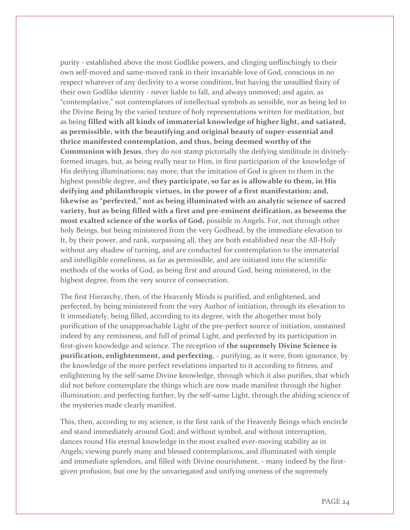purity - established above the most Godlike powers, and clinging unflinchingly to their own self-moved and same-moved rank in their invariable love of God, conscious in no respect whatever of any declivity to a worse condition, but having the unsullied fixity of their own Godlike identity - never liable to fall, and always unmoved; and again, as "contemplative," not contemplators of intellectual symbols as sensible, nor as being led to the Divine Being by the varied texture of holy representations written for meditation, but as being **filled with all kinds of immaterial knowledge of higher light, and satiated, as permissible, with the beautifying and original beauty of super-essential and thrice manifested contemplation, and thus, being deemed worthy of the Communion with Jesus**, they do not stamp pictorially the deifying similitude in divinelyformed images, but, as being really near to Him, in first participation of the knowledge of His deifying illuminations; nay more, that the imitation of God is given to them in the highest possible degree, and **they participate, so far as is allowable to them, in His deifying and philanthropic virtues, in the power of a first manifestation; and, likewise as "perfected," not as being illuminated with an analytic science of sacred variety, but as being filled with a first and pre-eminent deification, as beseems the most exalted science of the works of God,** possible in Angels. For, not through other holy Beings, but being ministered from the very Godhead, by the immediate elevation to It, by their power, and rank, surpassing all, they are both established near the All-Holy without any shadow of turning, and are conducted for contemplation to the immaterial and intelligible comeliness, as far as permissible, and are initiated into the scientific methods of the works of God, as being first and around God, being ministered, in the highest degree, from the very source of consecration.

The first Hierarchy, then, of the Heavenly Minds is purified, and enlightened, and perfected, by being ministered from the very Author of initiation, through its elevation to It immediately, being filled, according to its degree, with the altogether most holy purification of the unapproachable Light of the pre-perfect source of initiation, unstained indeed by any remissness, and full of primal Light, and perfected by its participation in first-given knowledge and science. The reception of **the supremely Divine Science is purification, enlightenment, and perfecting**, - purifying, as it were, from ignorance, by the knowledge of the more perfect revelations imparted to it according to fitness, and enlightening by the self-same Divine knowledge, through which it also purifies, that which did not before contemplate the things which are now made manifest through the higher illumination; and perfecting further, by the self-same Light, through the abiding science of the mysteries made clearly manifest.

This, then, according to my science, is the first rank of the Heavenly Beings which encircle and stand immediately around God; and without symbol, and without interruption, dances round His eternal knowledge in the most exalted ever-moving stability as in Angels; viewing purely many and blessed contemplations, and illuminated with simple and immediate splendors, and filled with Divine nourishment, - many indeed by the firstgiven profusion, but one by the unvariegated and unifying oneness of the supremely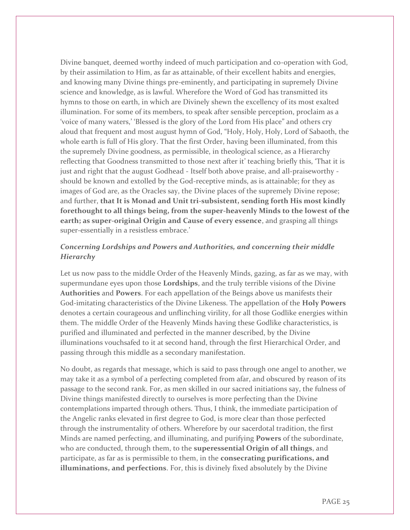Divine banquet, deemed worthy indeed of much participation and co-operation with God, by their assimilation to Him, as far as attainable, of their excellent habits and energies, and knowing many Divine things pre-eminently, and participating in supremely Divine science and knowledge, as is lawful. Wherefore the Word of God has transmitted its hymns to those on earth, in which are Divinely shewn the excellency of its most exalted illumination. For some of its members, to speak after sensible perception, proclaim as a 'voice of many waters,' 'Blessed is the glory of the Lord from His place" and others cry aloud that frequent and most august hymn of God, "Holy, Holy, Holy, Lord of Sabaoth, the whole earth is full of His glory. That the first Order, having been illuminated, from this the supremely Divine goodness, as permissible, in theological science, as a Hierarchy reflecting that Goodness transmitted to those next after it' teaching briefly this, 'That it is just and right that the august Godhead - Itself both above praise, and all-praiseworthy should be known and extolled by the God-receptive minds, as is attainable; for they as images of God are, as the Oracles say, the Divine places of the supremely Divine repose; and further, **that It is Monad and Unit tri-subsistent, sending forth His most kindly forethought to all things being, from the super-heavenly Minds to the lowest of the earth; as super-original Origin and Cause of every essence**, and grasping all things super-essentially in a resistless embrace.'

#### *Concerning Lordships and Powers and Authorities, and concerning their middle Hierarchy*

Let us now pass to the middle Order of the Heavenly Minds, gazing, as far as we may, with supermundane eyes upon those **Lordships**, and the truly terrible visions of the Divine **Authorities** and **Powers**. For each appellation of the Beings above us manifests their God-imitating characteristics of the Divine Likeness. The appellation of the **Holy Powers** denotes a certain courageous and unflinching virility, for all those Godlike energies within them. The middle Order of the Heavenly Minds having these Godlike characteristics, is purified and illuminated and perfected in the manner described, by the Divine illuminations vouchsafed to it at second hand, through the first Hierarchical Order, and passing through this middle as a secondary manifestation.

No doubt, as regards that message, which is said to pass through one angel to another, we may take it as a symbol of a perfecting completed from afar, and obscured by reason of its passage to the second rank. For, as men skilled in our sacred initiations say, the fulness of Divine things manifested directly to ourselves is more perfecting than the Divine contemplations imparted through others. Thus, I think, the immediate participation of the Angelic ranks elevated in first degree to God, is more clear than those perfected through the instrumentality of others. Wherefore by our sacerdotal tradition, the first Minds are named perfecting, and illuminating, and purifying **Powers** of the subordinate, who are conducted, through them, to the **superessential Origin of all things**, and participate, as far as is permissible to them, in the **consecrating purifications, and illuminations, and perfections**. For, this is divinely fixed absolutely by the Divine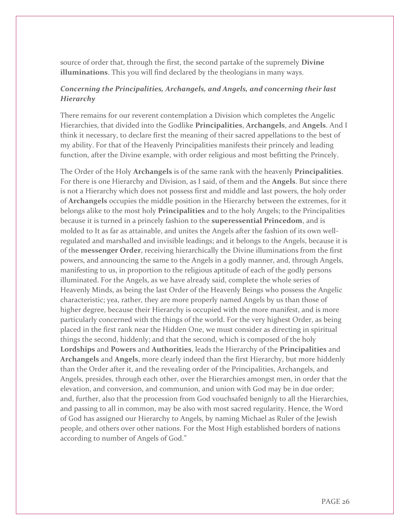source of order that, through the first, the second partake of the supremely **Divine illuminations**. This you will find declared by the theologians in many ways.

#### *Concerning the Principalities, Archangels, and Angels, and concerning their last Hierarchy*

There remains for our reverent contemplation a Division which completes the Angelic Hierarchies, that divided into the Godlike **Principalities**, **Archangels**, and **Angels**. And I think it necessary, to declare first the meaning of their sacred appellations to the best of my ability. For that of the Heavenly Principalities manifests their princely and leading function, after the Divine example, with order religious and most befitting the Princely.

The Order of the Holy **Archangels** is of the same rank with the heavenly **Principalities**. For there is one Hierarchy and Division, as I said, of them and the **Angels**. But since there is not a Hierarchy which does not possess first and middle and last powers, the holy order of **Archangels** occupies the middle position in the Hierarchy between the extremes, for it belongs alike to the most holy **Principalities** and to the holy Angels; to the Principalities because it is turned in a princely fashion to the **superessential Princedom**, and is molded to It as far as attainable, and unites the Angels after the fashion of its own wellregulated and marshalled and invisible leadings; and it belongs to the Angels, because it is of the **messenger Order**, receiving hierarchically the Divine illuminations from the first powers, and announcing the same to the Angels in a godly manner, and, through Angels, manifesting to us, in proportion to the religious aptitude of each of the godly persons illuminated. For the Angels, as we have already said, complete the whole series of Heavenly Minds, as being the last Order of the Heavenly Beings who possess the Angelic characteristic; yea, rather, they are more properly named Angels by us than those of higher degree, because their Hierarchy is occupied with the more manifest, and is more particularly concerned with the things of the world. For the very highest Order, as being placed in the first rank near the Hidden One, we must consider as directing in spiritual things the second, hiddenly; and that the second, which is composed of the holy **Lordships** and **Powers** and **Authorities**, leads the Hierarchy of the **Principalities** and **Archangels** and **Angels**, more clearly indeed than the first Hierarchy, but more hiddenly than the Order after it, and the revealing order of the Principalities, Archangels, and Angels, presides, through each other, over the Hierarchies amongst men, in order that the elevation, and conversion, and communion, and union with God may be in due order; and, further, also that the procession from God vouchsafed benignly to all the Hierarchies, and passing to all in common, may be also with most sacred regularity. Hence, the Word of God has assigned our Hierarchy to Angels, by naming Michael as Ruler of the Jewish people, and others over other nations. For the Most High established borders of nations according to number of Angels of God."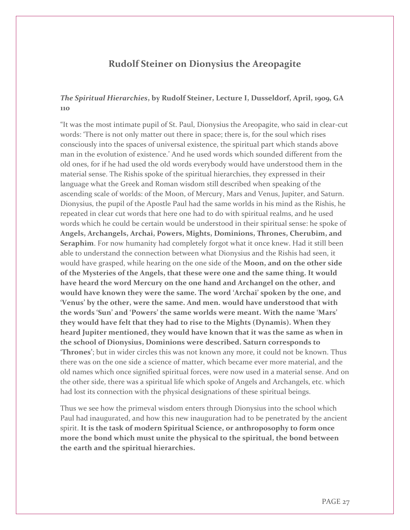### **Rudolf Steiner on Dionysius the Areopagite**

#### *The Spiritual Hierarchies***, by Rudolf Steiner, Lecture I, Dusseldorf, April, 1909, GA 110**

"It was the most intimate pupil of St. Paul, Dionysius the Areopagite, who said in clear-cut words: 'There is not only matter out there in space; there is, for the soul which rises consciously into the spaces of universal existence, the spiritual part which stands above man in the evolution of existence.' And he used words which sounded different from the old ones, for if he had used the old words everybody would have understood them in the material sense. The Rishis spoke of the spiritual hierarchies, they expressed in their language what the Greek and Roman wisdom still described when speaking of the ascending scale of worlds: of the Moon, of Mercury, Mars and Venus, Jupiter, and Saturn. Dionysius, the pupil of the Apostle Paul had the same worlds in his mind as the Rishis, he repeated in clear cut words that here one had to do with spiritual realms, and he used words which he could be certain would be understood in their spiritual sense: he spoke of **Angels, Archangels, Archai, Powers, Mights, Dominions, Thrones, Cherubim, and Seraphim**. For now humanity had completely forgot what it once knew. Had it still been able to understand the connection between what Dionysius and the Rishis had seen, it would have grasped, while hearing on the one side of the **Moon, and on the other side of the Mysteries of the Angels, that these were one and the same thing. It would have heard the word Mercury on the one hand and Archangel on the other, and would have known they were the same. The word 'Archai' spoken by the one, and 'Venus' by the other, were the same. And men. would have understood that with the words 'Sun' and 'Powers' the same worlds were meant. With the name 'Mars' they would have felt that they had to rise to the Mights (Dynamis). When they heard Jupiter mentioned, they would have known that it was the same as when in the school of Dionysius, Dominions were described. Saturn corresponds to 'Thrones'**; but in wider circles this was not known any more, it could not be known. Thus there was on the one side a science of matter, which became ever more material, and the old names which once signified spiritual forces, were now used in a material sense. And on the other side, there was a spiritual life which spoke of Angels and Archangels, etc. which had lost its connection with the physical designations of these spiritual beings.

Thus we see how the primeval wisdom enters through Dionysius into the school which Paul had inaugurated, and how this new inauguration had to be penetrated by the ancient spirit. **It is the task of modern Spiritual Science, or anthroposophy to form once more the bond which must unite the physical to the spiritual, the bond between the earth and the spiritual hierarchies.**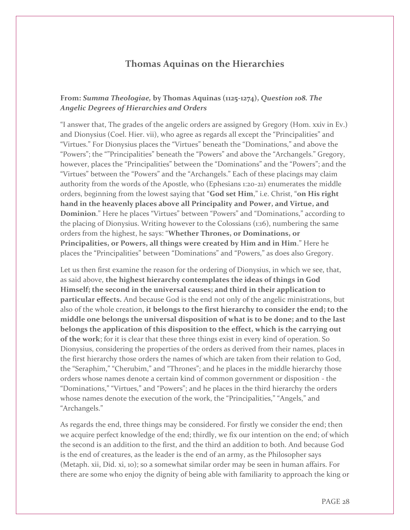### **Thomas Aquinas on the Hierarchies**

#### **From:** *Summa Theologiae,* **by Thomas Aquinas (1125-1274),** *Question 108. The Angelic Degrees of Hierarchies and Orders*

"I answer that, The grades of the angelic orders are assigned by Gregory (Hom. xxiv in Ev.) and Dionysius (Coel. Hier. vii), who agree as regards all except the "Principalities" and "Virtues." For Dionysius places the "Virtues" beneath the "Dominations," and above the "Powers"; the ""Principalities" beneath the "Powers" and above the "Archangels." Gregory, however, places the "Principalities" between the "Dominations" and the "Powers"; and the "Virtues" between the "Powers" and the "Archangels." Each of these placings may claim authority from the words of the Apostle, who (Ephesians 1:20-21) enumerates the middle orders, beginning from the lowest saying that "**God set Him**," i.e. Christ, "**on His right hand in the heavenly places above all Principality and Power, and Virtue, and Dominion**." Here he places "Virtues" between "Powers" and "Dominations," according to the placing of Dionysius. Writing however to the Colossians (1:16), numbering the same orders from the highest, he says: "**Whether Thrones, or Dominations, or Principalities, or Powers, all things were created by Him and in Him**." Here he places the "Principalities" between "Dominations" and "Powers," as does also Gregory.

Let us then first examine the reason for the ordering of Dionysius, in which we see, that, as said above, **the highest hierarchy contemplates the ideas of things in God Himself; the second in the universal causes; and third in their application to particular effects.** And because God is the end not only of the angelic ministrations, but also of the whole creation, **it belongs to the first hierarchy to consider the end; to the middle one belongs the universal disposition of what is to be done; and to the last belongs the application of this disposition to the effect, which is the carrying out of the work**; for it is clear that these three things exist in every kind of operation. So Dionysius, considering the properties of the orders as derived from their names, places in the first hierarchy those orders the names of which are taken from their relation to God, the "Seraphim," "Cherubim," and "Thrones"; and he places in the middle hierarchy those orders whose names denote a certain kind of common government or disposition - the "Dominations," "Virtues," and "Powers"; and he places in the third hierarchy the orders whose names denote the execution of the work, the "Principalities," "Angels," and "Archangels."

As regards the end, three things may be considered. For firstly we consider the end; then we acquire perfect knowledge of the end; thirdly, we fix our intention on the end; of which the second is an addition to the first, and the third an addition to both. And because God is the end of creatures, as the leader is the end of an army, as the Philosopher says (Metaph. xii, Did. xi, 10); so a somewhat similar order may be seen in human affairs. For there are some who enjoy the dignity of being able with familiarity to approach the king or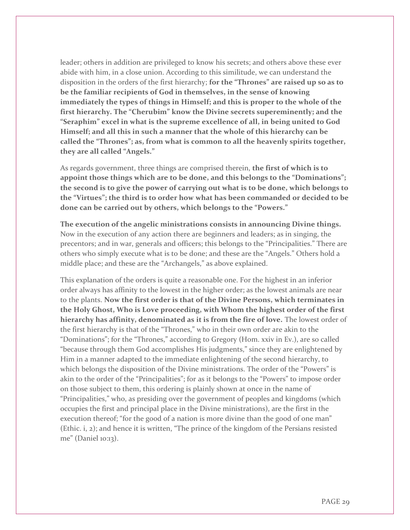leader; others in addition are privileged to know his secrets; and others above these ever abide with him, in a close union. According to this similitude, we can understand the disposition in the orders of the first hierarchy; **for the "Thrones" are raised up so as to be the familiar recipients of God in themselves, in the sense of knowing immediately the types of things in Himself; and this is proper to the whole of the first hierarchy. The "Cherubim" know the Divine secrets supereminently; and the "Seraphim" excel in what is the supreme excellence of all, in being united to God Himself; and all this in such a manner that the whole of this hierarchy can be called the "Thrones"; as, from what is common to all the heavenly spirits together, they are all called "Angels."**

As regards government, three things are comprised therein, **the first of which is to appoint those things which are to be done, and this belongs to the "Dominations"; the second is to give the power of carrying out what is to be done, which belongs to the "Virtues"; the third is to order how what has been commanded or decided to be done can be carried out by others, which belongs to the "Powers."**

**The execution of the angelic ministrations consists in announcing Divine things.**  Now in the execution of any action there are beginners and leaders; as in singing, the precentors; and in war, generals and officers; this belongs to the "Principalities." There are others who simply execute what is to be done; and these are the "Angels." Others hold a middle place; and these are the "Archangels," as above explained.

This explanation of the orders is quite a reasonable one. For the highest in an inferior order always has affinity to the lowest in the higher order; as the lowest animals are near to the plants. **Now the first order is that of the Divine Persons, which terminates in the Holy Ghost, Who is Love proceeding, with Whom the highest order of the first hierarchy has affinity, denominated as it is from the fire of love.** The lowest order of the first hierarchy is that of the "Thrones," who in their own order are akin to the "Dominations"; for the "Thrones," according to Gregory (Hom. xxiv in Ev.), are so called "because through them God accomplishes His judgments," since they are enlightened by Him in a manner adapted to the immediate enlightening of the second hierarchy, to which belongs the disposition of the Divine ministrations. The order of the "Powers" is akin to the order of the "Principalities"; for as it belongs to the "Powers" to impose order on those subject to them, this ordering is plainly shown at once in the name of "Principalities," who, as presiding over the government of peoples and kingdoms (which occupies the first and principal place in the Divine ministrations), are the first in the execution thereof; "for the good of a nation is more divine than the good of one man" (Ethic. i, 2); and hence it is written, "The prince of the kingdom of the Persians resisted me" (Daniel 10:13).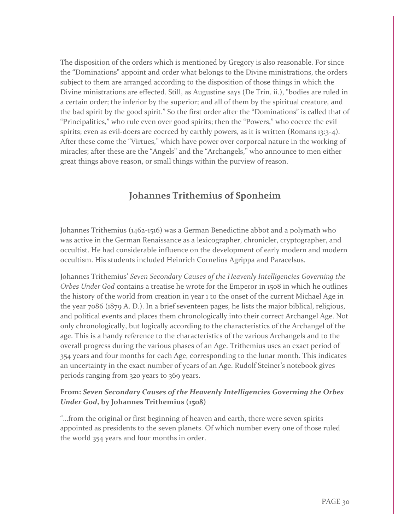The disposition of the orders which is mentioned by Gregory is also reasonable. For since the "Dominations" appoint and order what belongs to the Divine ministrations, the orders subject to them are arranged according to the disposition of those things in which the Divine ministrations are effected. Still, as Augustine says (De Trin. ii.), "bodies are ruled in a certain order; the inferior by the superior; and all of them by the spiritual creature, and the bad spirit by the good spirit." So the first order after the "Dominations" is called that of "Principalities," who rule even over good spirits; then the "Powers," who coerce the evil spirits; even as evil-doers are coerced by earthly powers, as it is written (Romans 13:3-4). After these come the "Virtues," which have power over corporeal nature in the working of miracles; after these are the "Angels" and the "Archangels," who announce to men either great things above reason, or small things within the purview of reason.

# **Johannes Trithemius of Sponheim**

Johannes Trithemius (1462-1516) was a German Benedictine abbot and a polymath who was active in the German Renaissance as a lexicographer, chronicler, cryptographer, and occultist. He had considerable influence on the development of early modern and modern occultism. His students included Heinrich Cornelius Agrippa and Paracelsus.

Johannes Trithemius' *Seven Secondary Causes of the Heavenly Intelligencies Governing the Orbes Under God* contains a treatise he wrote for the Emperor in 1508 in which he outlines the history of the world from creation in year 1 to the onset of the current Michael Age in the year 7086 (1879 A. D.). In a brief seventeen pages, he lists the major biblical, religious, and political events and places them chronologically into their correct Archangel Age. Not only chronologically, but logically according to the characteristics of the Archangel of the age. This is a handy reference to the characteristics of the various Archangels and to the overall progress during the various phases of an Age. Trithemius uses an exact period of 354 years and four months for each Age, corresponding to the lunar month. This indicates an uncertainty in the exact number of years of an Age. Rudolf Steiner's notebook gives periods ranging from 320 years to 369 years.

#### **From:** *Seven Secondary Causes of the Heavenly Intelligencies Governing the Orbes Under God***, by Johannes Trithemius (1508)**

"…from the original or first beginning of heaven and earth, there were seven spirits appointed as presidents to the seven planets. Of which number every one of those ruled the world 354 years and four months in order.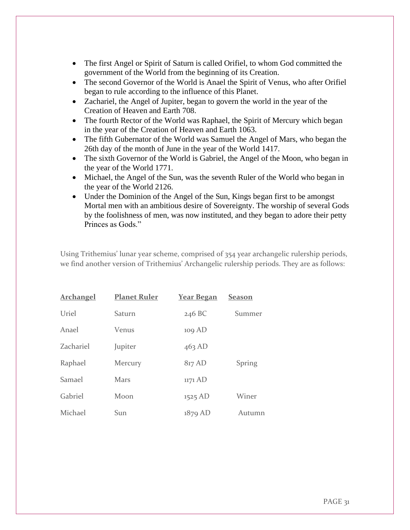- The first Angel or Spirit of Saturn is called Orifiel, to whom God committed the government of the World from the beginning of its Creation.
- The second Governor of the World is Anael the Spirit of Venus, who after Orifiel began to rule according to the influence of this Planet.
- Zachariel, the Angel of Jupiter, began to govern the world in the year of the Creation of Heaven and Earth 708.
- The fourth Rector of the World was Raphael, the Spirit of Mercury which began in the year of the Creation of Heaven and Earth 1063.
- The fifth Gubernator of the World was Samuel the Angel of Mars, who began the 26th day of the month of June in the year of the World 1417.
- The sixth Governor of the World is Gabriel, the Angel of the Moon, who began in the year of the World 1771.
- Michael, the Angel of the Sun, was the seventh Ruler of the World who began in the year of the World 2126.
- Under the Dominion of the Angel of the Sun, Kings began first to be amongst Mortal men with an ambitious desire of Sovereignty. The worship of several Gods by the foolishness of men, was now instituted, and they began to adore their petty Princes as Gods."

Using Trithemius' lunar year scheme, comprised of 354 year archangelic rulership periods, we find another version of Trithemius' Archangelic rulership periods. They are as follows:

| <b>Archangel</b> | <b>Planet Ruler</b> | <b>Year Began</b> | <u>Season</u> |
|------------------|---------------------|-------------------|---------------|
| Uriel            | Saturn              | 246 BC            | Summer        |
| Anael            | Venus               | 109 AD            |               |
| Zachariel        | Jupiter             | $463$ AD          |               |
| Raphael          | Mercury             | 817 AD            | Spring        |
| Samael           | Mars                | 1171 AD           |               |
| Gabriel          | Moon                | 1525 AD           | Winer         |
| Michael          | Sun                 | $1879$ AD         | Autumn        |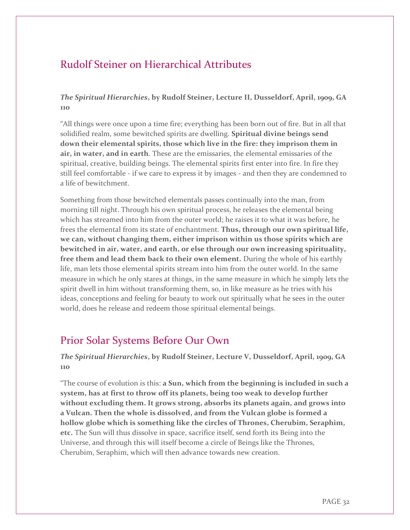# Rudolf Steiner on Hierarchical Attributes

#### *The Spiritual Hierarchies***, by Rudolf Steiner, Lecture II, Dusseldorf, April, 1909, GA 110**

"All things were once upon a time fire; everything has been born out of fire. But in all that solidified realm, some bewitched spirits are dwelling. **Spiritual divine beings send down their elemental spirits, those which live in the fire: they imprison them in air, in water, and in earth**. These are the emissaries, the elemental emissaries of the spiritual, creative, building beings. The elemental spirits first enter into fire. In fire they still feel comfortable - if we care to express it by images - and then they are condemned to a life of bewitchment.

Something from those bewitched elementals passes continually into the man, from morning till night. Through his own spiritual process, he releases the elemental being which has streamed into him from the outer world; he raises it to what it was before, he frees the elemental from its state of enchantment. **Thus, through our own spiritual life, we can, without changing them, either imprison within us those spirits which are bewitched in air, water, and earth, or else through our own increasing spirituality, free them and lead them back to their own element.** During the whole of his earthly life, man lets those elemental spirits stream into him from the outer world. In the same measure in which he only stares at things, in the same measure in which he simply lets the spirit dwell in him without transforming them, so, in like measure as he tries with his ideas, conceptions and feeling for beauty to work out spiritually what he sees in the outer world, does he release and redeem those spiritual elemental beings.

# Prior Solar Systems Before Our Own

#### *The Spiritual Hierarchies***, by Rudolf Steiner, Lecture V, Dusseldorf, April, 1909, GA 110**

"The course of evolution is this: **a Sun, which from the beginning is included in such a system, has at first to throw off its planets, being too weak to develop further without excluding them. It grows strong, absorbs its planets again, and grows into a Vulcan. Then the whole is dissolved, and from the Vulcan globe is formed a hollow globe which is something like the circles of Thrones, Cherubim, Seraphim, etc.** The Sun will thus dissolve in space, sacrifice itself, send forth its Being into the Universe, and through this will itself become a circle of Beings like the Thrones, Cherubim, Seraphim, which will then advance towards new creation.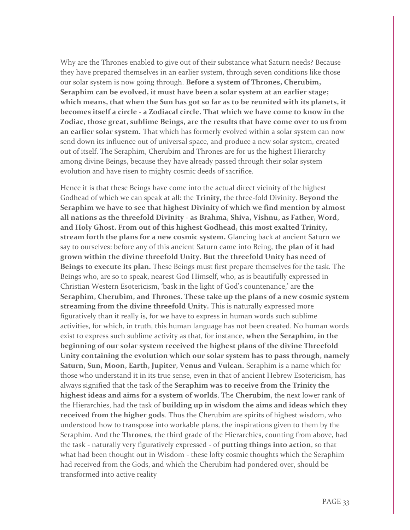Why are the Thrones enabled to give out of their substance what Saturn needs? Because they have prepared themselves in an earlier system, through seven conditions like those our solar system is now going through. **Before a system of Thrones, Cherubim, Seraphim can be evolved, it must have been a solar system at an earlier stage; which means, that when the Sun has got so far as to be reunited with its planets, it becomes itself a circle - a Zodiacal circle. That which we have come to know in the Zodiac, those great, sublime Beings, are the results that have come over to us from an earlier solar system.** That which has formerly evolved within a solar system can now send down its influence out of universal space, and produce a new solar system, created out of itself. The Seraphim, Cherubim and Thrones are for us the highest Hierarchy among divine Beings, because they have already passed through their solar system evolution and have risen to mighty cosmic deeds of sacrifice.

Hence it is that these Beings have come into the actual direct vicinity of the highest Godhead of which we can speak at all: the **Trinity**, the three-fold Divinity. **Beyond the Seraphim we have to see that highest Divinity of which we find mention by almost all nations as the threefold Divinity - as Brahma, Shiva, Vishnu, as Father, Word, and Holy Ghost. From out of this highest Godhead, this most exalted Trinity, stream forth the plans for a new cosmic system.** Glancing back at ancient Saturn we say to ourselves: before any of this ancient Saturn came into Being, **the plan of it had grown within the divine threefold Unity. But the threefold Unity has need of Beings to execute its plan.** These Beings must first prepare themselves for the task. The Beings who, are so to speak, nearest God Himself, who, as is beautifully expressed in Christian Western Esotericism, 'bask in the light of God's countenance,' are **the Seraphim, Cherubim, and Thrones. These take up the plans of a new cosmic system streaming from the divine threefold Unity.** This is naturally expressed more figuratively than it really is, for we have to express in human words such sublime activities, for which, in truth, this human language has not been created. No human words exist to express such sublime activity as that, for instance, **when the Seraphim, in the beginning of our solar system received the highest plans of the divine Threefold Unity containing the evolution which our solar system has to pass through, namely Saturn, Sun, Moon, Earth, Jupiter, Venus and Vulcan.** Seraphim is a name which for those who understand it in its true sense, even in that of ancient Hebrew Esotericism, has always signified that the task of the **Seraphim was to receive from the Trinity the highest ideas and aims for a system of worlds**. The **Cherubim**, the next lower rank of the Hierarchies, had the task of **building up in wisdom the aims and ideas which they received from the higher gods**. Thus the Cherubim are spirits of highest wisdom, who understood how to transpose into workable plans, the inspirations given to them by the Seraphim. And the **Thrones**, the third grade of the Hierarchies, counting from above, had the task - naturally very figuratively expressed - of **putting things into action**, so that what had been thought out in Wisdom - these lofty cosmic thoughts which the Seraphim had received from the Gods, and which the Cherubim had pondered over, should be transformed into active reality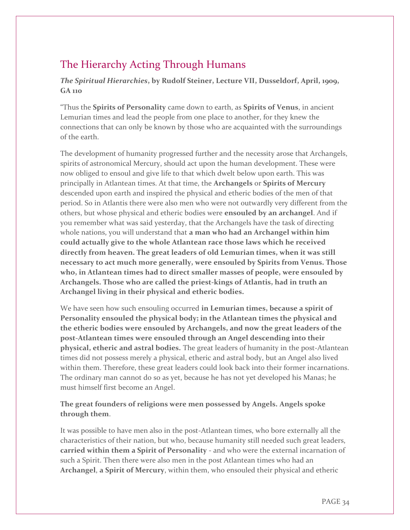# The Hierarchy Acting Through Humans

#### *The Spiritual Hierarchies***, by Rudolf Steiner, Lecture VII, Dusseldorf, April, 1909, GA 110**

"Thus the **Spirits of Personality** came down to earth, as **Spirits of Venus**, in ancient Lemurian times and lead the people from one place to another, for they knew the connections that can only be known by those who are acquainted with the surroundings of the earth.

The development of humanity progressed further and the necessity arose that Archangels, spirits of astronomical Mercury, should act upon the human development. These were now obliged to ensoul and give life to that which dwelt below upon earth. This was principally in Atlantean times. At that time, the **Archangels** or **Spirits of Mercury** descended upon earth and inspired the physical and etheric bodies of the men of that period. So in Atlantis there were also men who were not outwardly very different from the others, but whose physical and etheric bodies were **ensouled by an archangel**. And if you remember what was said yesterday, that the Archangels have the task of directing whole nations, you will understand that **a man who had an Archangel within him could actually give to the whole Atlantean race those laws which he received directly from heaven. The great leaders of old Lemurian times, when it was still necessary to act much more generally, were ensouled by Spirits from Venus. Those who, in Atlantean times had to direct smaller masses of people, were ensouled by Archangels. Those who are called the priest-kings of Atlantis, had in truth an Archangel living in their physical and etheric bodies.**

We have seen how such ensouling occurred **in Lemurian times, because a spirit of Personality ensouled the physical body; in the Atlantean times the physical and the etheric bodies were ensouled by Archangels, and now the great leaders of the post-Atlantean times were ensouled through an Angel descending into their physical, etheric and astral bodies.** The great leaders of humanity in the post-Atlantean times did not possess merely a physical, etheric and astral body, but an Angel also lived within them. Therefore, these great leaders could look back into their former incarnations. The ordinary man cannot do so as yet, because he has not yet developed his Manas; he must himself first become an Angel.

#### **The great founders of religions were men possessed by Angels. Angels spoke through them**.

It was possible to have men also in the post-Atlantean times, who bore externally all the characteristics of their nation, but who, because humanity still needed such great leaders, **carried within them a Spirit of Personality** - and who were the external incarnation of such a Spirit. Then there were also men in the post Atlantean times who had an **Archangel**, **a Spirit of Mercury**, within them, who ensouled their physical and etheric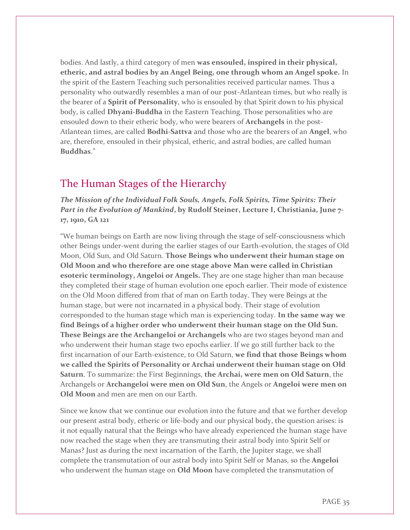bodies. And lastly, a third category of men **was ensouled, inspired in their physical, etheric, and astral bodies by an Angel Being, one through whom an Angel spoke.** In the spirit of the Eastern Teaching such personalities received particular names. Thus a personality who outwardly resembles a man of our post-Atlantean times, but who really is the bearer of a **Spirit of Personality**, who is ensouled by that Spirit down to his physical body, is called **Dhyani-Buddha** in the Eastern Teaching. Those personalities who are ensouled down to their etheric body, who were bearers of **Archangels** in the post-Atlantean times, are called **Bodhi-Sattva** and those who are the bearers of an **Angel**, who are, therefore, ensouled in their physical, etheric, and astral bodies, are called human **Buddhas**."

# The Human Stages of the Hierarchy

*The Mission of the Individual Folk Souls, Angels, Folk Spirits, Time Spirits: Their Part in the Evolution of Mankind***, by Rudolf Steiner, Lecture I, Christiania, June 7- 17, 1910, GA 121**

"We human beings on Earth are now living through the stage of self-consciousness which other Beings under-went during the earlier stages of our Earth-evolution, the stages of Old Moon, Old Sun, and Old Saturn. **Those Beings who underwent their human stage on Old Moon and who therefore are one stage above Man were called in Christian esoteric terminology, Angeloi or Angels.** They are one stage higher than man because they completed their stage of human evolution one epoch earlier. Their mode of existence on the Old Moon differed from that of man on Earth today. They were Beings at the human stage, but were not incarnated in a physical body. Their stage of evolution corresponded to the human stage which man is experiencing today. **In the same way we find Beings of a higher order who underwent their human stage on the Old Sun. These Beings are the Archangeloi or Archangels** who are two stages beyond man and who underwent their human stage two epochs earlier. If we go still further back to the first incarnation of our Earth-existence, to Old Saturn, **we find that those Beings whom we called the Spirits of Personality or Archai underwent their human stage on Old Saturn**. To summarize: the First Beginnings, **the Archai, were men on Old Saturn**, the Archangels or **Archangeloi were men on Old Sun**, the Angels or **Angeloi were men on Old Moon** and men are men on our Earth.

Since we know that we continue our evolution into the future and that we further develop our present astral body, etheric or life-body and our physical body, the question arises: is it not equally natural that the Beings who have already experienced the human stage have now reached the stage when they are transmuting their astral body into Spirit Self or Manas? Just as during the next incarnation of the Earth, the Jupiter stage, we shall complete the transmutation of our astral body into Spirit Self or Manas, so the **Angeloi** who underwent the human stage on **Old Moon** have completed the transmutation of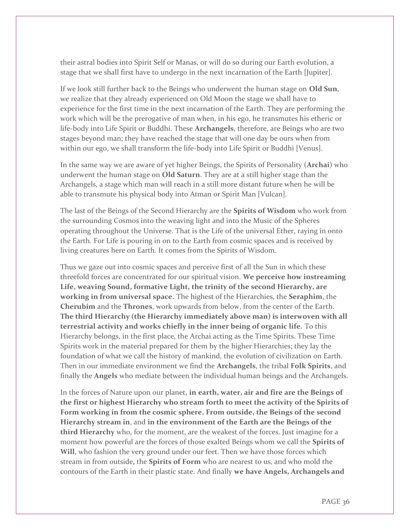their astral bodies into Spirit Self or Manas, or will do so during our Earth evolution, a stage that we shall first have to undergo in the next incarnation of the Earth [Jupiter].

If we look still further back to the Beings who underwent the human stage on **Old Sun**, we realize that they already experienced on Old Moon the stage we shall have to experience for the first time in the next incarnation of the Earth. They are performing the work which will be the prerogative of man when, in his ego, he transmutes his etheric or life-body into Life Spirit or Buddhi. These **Archangels**, therefore, are Beings who are two stages beyond man; they have reached the stage that will one day be ours when from within our ego, we shall transform the life-body into Life Spirit or Buddhi [Venus].

In the same way we are aware of yet higher Beings, the Spirits of Personality (**Archai**) who underwent the human stage on **Old Saturn**. They are at a still higher stage than the Archangels, a stage which man will reach in a still more distant future when he will be able to transmute his physical body into Atman or Spirit Man [Vulcan].

The last of the Beings of the Second Hierarchy are the **Spirits of Wisdom** who work from the surrounding Cosmos into the weaving light and into the Music of the Spheres operating throughout the Universe. That is the Life of the universal Ether, raying in onto the Earth. For Life is pouring in on to the Earth from cosmic spaces and is received by living creatures here on Earth. It comes from the Spirits of Wisdom.

Thus we gaze out into cosmic spaces and perceive first of all the Sun in which these threefold forces are concentrated for our spiritual vision. **We perceive how instreaming Life, weaving Sound, formative Light, the trinity of the second Hierarchy, are working in from universal space.** The highest of the Hierarchies, the **Seraphim**, the **Cherubim** and the **Thrones**, work upwards from below, from the center of the Earth. **The third Hierarchy (the Hierarchy immediately above man) is interwoven with all terrestrial activity and works chiefly in the inner being of organic life.** To this Hierarchy belongs, in the first place, the Archai acting as the Time Spirits. These Time Spirits work in the material prepared for them by the higher Hierarchies; they lay the foundation of what we call the history of mankind, the evolution of civilization on Earth. Then in our immediate environment we find the **Archangels**, the tribal **Folk Spirits**, and finally the **Angels** who mediate between the individual human beings and the Archangels.

In the forces of Nature upon our planet, **in earth, water, air and fire are the Beings of the first or highest Hierarchy who stream forth to meet the activity of the Spirits of Form working in from the cosmic sphere. From outside, the Beings of the second Hierarchy stream in**, and **in the environment of the Earth are the Beings of the third Hierarchy** who, for the moment, are the weakest of the forces. Just imagine for a moment how powerful are the forces of those exalted Beings whom we call the **Spirits of Will**, who fashion the very ground under our feet. Then we have those forces which stream in from outside, the **Spirits of Form** who are nearest to us, and who mold the contours of the Earth in their plastic state. And finally **we have Angels, Archangels and**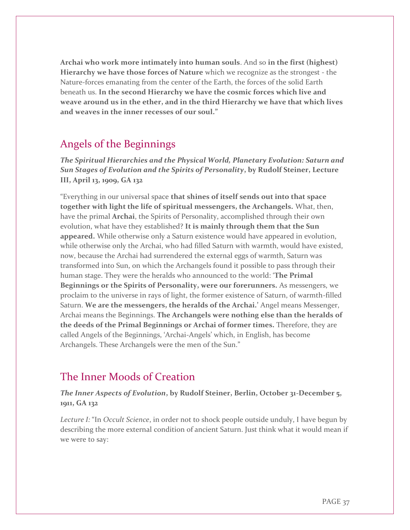**Archai who work more intimately into human souls**. And so **in the first (highest) Hierarchy we have those forces of Nature** which we recognize as the strongest - the Nature-forces emanating from the center of the Earth, the forces of the solid Earth beneath us. **In the second Hierarchy we have the cosmic forces which live and weave around us in the ether, and in the third Hierarchy we have that which lives and weaves in the inner recesses of our soul."**

# Angels of the Beginnings

*The Spiritual Hierarchies and the Physical World, Planetary Evolution: Saturn and Sun Stages of Evolution and the Spirits of Personality***, by Rudolf Steiner, Lecture III, April 13, 1909, GA 132**

"Everything in our universal space **that shines of itself sends out into that space together with light the life of spiritual messengers, the Archangels.** What, then, have the primal **Archai**, the Spirits of Personality, accomplished through their own evolution, what have they established? **It is mainly through them that the Sun appeared.** While otherwise only a Saturn existence would have appeared in evolution, while otherwise only the Archai, who had filled Saturn with warmth, would have existed, now, because the Archai had surrendered the external eggs of warmth, Saturn was transformed into Sun, on which the Archangels found it possible to pass through their human stage. They were the heralds who announced to the world: '**The Primal Beginnings or the Spirits of Personality, were our forerunners.** As messengers, we proclaim to the universe in rays of light, the former existence of Saturn, of warmth-filled Saturn. **We are the messengers, the heralds of the Archai.'** Angel means Messenger, Archai means the Beginnings. **The Archangels were nothing else than the heralds of the deeds of the Primal Beginnings or Archai of former times.** Therefore, they are called Angels of the Beginnings, 'Archai-Angels' which, in English, has become Archangels. These Archangels were the men of the Sun."

# The Inner Moods of Creation

*The Inner Aspects of Evolution***, by Rudolf Steiner, Berlin, October 31-December 5, 1911, GA 132**

*Lecture I:* "In *Occult Science*, in order not to shock people outside unduly, I have begun by describing the more external condition of ancient Saturn. Just think what it would mean if we were to say: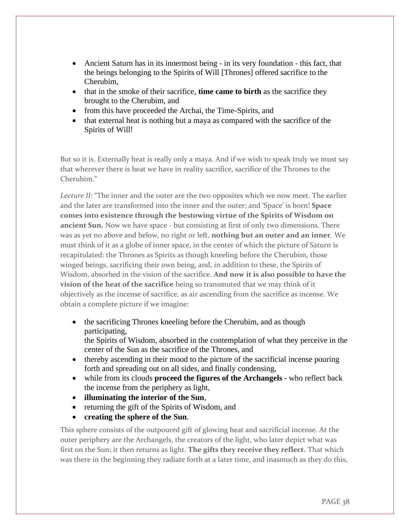- Ancient Saturn has in its innermost being in its very foundation this fact, that the beings belonging to the Spirits of Will [Thrones] offered sacrifice to the Cherubim,
- that in the smoke of their sacrifice, **time came to birth** as the sacrifice they brought to the Cherubim, and
- from this have proceeded the Archai, the Time-Spirits, and
- that external heat is nothing but a maya as compared with the sacrifice of the Spirits of Will!

But so it is. Externally heat is really only a maya. And if we wish to speak truly we must say that wherever there is heat we have in reality sacrifice, sacrifice of the Thrones to the Cherubim<sup>"</sup>

*Lecture II:* "The inner and the outer are the two opposites which we now meet. The earlier and the later are transformed into the inner and the outer; and 'Space' is born! **Space comes into existence through the bestowing virtue of the Spirits of Wisdom on ancient Sun.** Now we have space - but consisting at first of only two dimensions. There was as yet no above and below, no right or left, **nothing but an outer and an inner**. We must think of it as a globe of inner space, in the center of which the picture of Saturn is recapitulated: the Thrones as Spirits as though kneeling before the Cherubim, those winged beings, sacrificing their own being, and, in addition to these, the Spirits of Wisdom, absorbed in the vision of the sacrifice. **And now it is also possible to have the vision of the heat of the sacrifice** being so transmuted that we may think of it objectively as the incense of sacrifice, as air ascending from the sacrifice as incense. We obtain a complete picture if we imagine:

- the sacrificing Thrones kneeling before the Cherubim, and as though participating, the Spirits of Wisdom, absorbed in the contemplation of what they perceive in the center of the Sun as the sacrifice of the Thrones, and
- thereby ascending in their mood to the picture of the sacrificial incense pouring forth and spreading out on all sides, and finally condensing,
- while from its clouds **proceed the figures of the Archangels** who reflect back the incense from the periphery as light,
- **illuminating the interior of the Sun**,
- returning the gift of the Spirits of Wisdom, and
- **creating the sphere of the Sun**.

This sphere consists of the outpoured gift of glowing heat and sacrificial incense. At the outer periphery are the Archangels, the creators of the light, who later depict what was first on the Sun; it then returns as light. **The gifts they receive they reflect.** That which was there in the beginning they radiate forth at a later time, and inasmuch as they do this,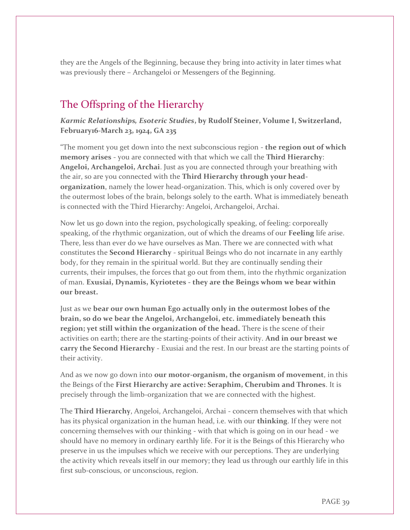they are the Angels of the Beginning, because they bring into activity in later times what was previously there – Archangeloi or Messengers of the Beginning.

# The Offspring of the Hierarchy

*Karmic Relationships, Esoteric Studies***, by Rudolf Steiner, Volume I, Switzerland, February16-March 23, 1924, GA 235**

"The moment you get down into the next subconscious region - **the region out of which memory arises** - you are connected with that which we call the **Third Hierarchy**: **Angeloi, Archangeloi, Archai**. Just as you are connected through your breathing with the air, so are you connected with the **Third Hierarchy through your headorganization**, namely the lower head-organization. This, which is only covered over by the outermost lobes of the brain, belongs solely to the earth. What is immediately beneath is connected with the Third Hierarchy: Angeloi, Archangeloi, Archai.

Now let us go down into the region, psychologically speaking, of feeling: corporeally speaking, of the rhythmic organization, out of which the dreams of our **Feeling** life arise. There, less than ever do we have ourselves as Man. There we are connected with what constitutes the **Second Hierarchy** - spiritual Beings who do not incarnate in any earthly body, for they remain in the spiritual world. But they are continually sending their currents, their impulses, the forces that go out from them, into the rhythmic organization of man. **Exusiai, Dynamis, Kyriotetes - they are the Beings whom we bear within our breast.**

Just as we **bear our own human Ego actually only in the outermost lobes of the brain, so do we bear the Angeloi, Archangeloi, etc. immediately beneath this region; yet still within the organization of the head.** There is the scene of their activities on earth; there are the starting-points of their activity. **And in our breast we carry the Second Hierarchy** - Exusiai and the rest. In our breast are the starting points of their activity.

And as we now go down into **our motor-organism, the organism of movement**, in this the Beings of the **First Hierarchy are active: Seraphim, Cherubim and Thrones**. It is precisely through the limb-organization that we are connected with the highest.

The **Third Hierarchy**, Angeloi, Archangeloi, Archai - concern themselves with that which has its physical organization in the human head, i.e. with our **thinking**. If they were not concerning themselves with our thinking - with that which is going on in our head - we should have no memory in ordinary earthly life. For it is the Beings of this Hierarchy who preserve in us the impulses which we receive with our perceptions. They are underlying the activity which reveals itself in our memory; they lead us through our earthly life in this first sub-conscious, or unconscious, region.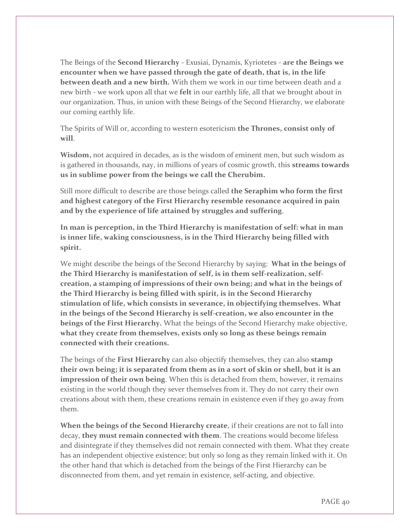The Beings of the **Second Hierarchy** - Exusiai, Dynamis, Kyriotetes - **are the Beings we encounter when we have passed through the gate of death, that is, in the life between death and a new birth.** With them we work in our time between death and a new birth - we work upon all that we **felt** in our earthly life, all that we brought about in our organization. Thus, in union with these Beings of the Second Hierarchy, we elaborate our coming earthly life.

The Spirits of Will or, according to western esotericism **the Thrones, consist only of will**.

**Wisdom,** not acquired in decades, as is the wisdom of eminent men, but such wisdom as is gathered in thousands, nay, in millions of years of cosmic growth, this **streams towards us in sublime power from the beings we call the Cherubim.**

Still more difficult to describe are those beings called **the Seraphim who form the first and highest category of the First Hierarchy resemble resonance acquired in pain and by the experience of life attained by struggles and suffering**.

**In man is perception, in the Third Hierarchy is manifestation of self: what in man is inner life, waking consciousness, is in the Third Hierarchy being filled with spirit.** 

We might describe the beings of the Second Hierarchy by saying: **What in the beings of the Third Hierarchy is manifestation of self, is in them self-realization, selfcreation, a stamping of impressions of their own being; and what in the beings of the Third Hierarchy is being filled with spirit, is in the Second Hierarchy stimulation of life, which consists in severance, in objectifying themselves. What in the beings of the Second Hierarchy is self-creation, we also encounter in the beings of the First Hierarchy.** What the beings of the Second Hierarchy make objective, **what they create from themselves, exists only so long as these beings remain connected with their creations.** 

The beings of the **First Hierarchy** can also objectify themselves, they can also **stamp their own being; it is separated from them as in a sort of skin or shell, but it is an impression of their own being**. When this is detached from them, however, it remains existing in the world though they sever themselves from it. They do not carry their own creations about with them, these creations remain in existence even if they go away from them.

**When the beings of the Second Hierarchy create**, if their creations are not to fall into decay, **they must remain connected with them**. The creations would become lifeless and disintegrate if they themselves did not remain connected with them. What they create has an independent objective existence; but only so long as they remain linked with it. On the other hand that which is detached from the beings of the First Hierarchy can be disconnected from them, and yet remain in existence, self-acting, and objective.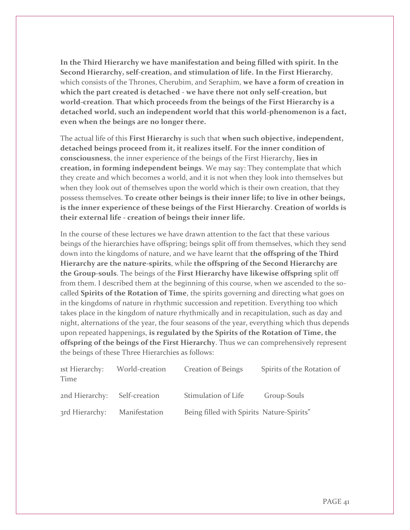**In the Third Hierarchy we have manifestation and being filled with spirit. In the Second Hierarchy, self-creation, and stimulation of life. In the First Hierarchy**, which consists of the Thrones, Cherubim, and Seraphim, **we have a form of creation in which the part created is detached - we have there not only self-creation, but world-creation**. **That which proceeds from the beings of the First Hierarchy is a detached world, such an independent world that this world-phenomenon is a fact, even when the beings are no longer there.** 

The actual life of this **First Hierarchy** is such that **when such objective, independent, detached beings proceed from it, it realizes itself. For the inner condition of consciousness**, the inner experience of the beings of the First Hierarchy, **lies in creation, in forming independent beings**. We may say: They contemplate that which they create and which becomes a world, and it is not when they look into themselves but when they look out of themselves upon the world which is their own creation, that they possess themselves. **To create other beings is their inner life; to live in other beings, is the inner experience of these beings of the First Hierarchy**. **Creation of worlds is their external life - creation of beings their inner life.**

In the course of these lectures we have drawn attention to the fact that these various beings of the hierarchies have offspring; beings split off from themselves, which they send down into the kingdoms of nature, and we have learnt that **the offspring of the Third Hierarchy are the nature-spirits**, while **the offspring of the Second Hierarchy are the Group-souls**. The beings of the **First Hierarchy have likewise offspring** split off from them. I described them at the beginning of this course, when we ascended to the socalled **Spirits of the Rotation of Time**, the spirits governing and directing what goes on in the kingdoms of nature in rhythmic succession and repetition. Everything too which takes place in the kingdom of nature rhythmically and in recapitulation, such as day and night, alternations of the year, the four seasons of the year, everything which thus depends upon repeated happenings, **is regulated by the Spirits of the Rotation of Time, the offspring of the beings of the First Hierarchy**. Thus we can comprehensively represent the beings of these Three Hierarchies as follows:

| ist Hierarchy:<br>Time       | World-creation | <b>Creation of Beings</b>                 | Spirits of the Rotation of |
|------------------------------|----------------|-------------------------------------------|----------------------------|
| 2nd Hierarchy: Self-creation |                | Stimulation of Life                       | Group-Souls                |
| 3rd Hierarchy:               | Manifestation  | Being filled with Spirits Nature-Spirits" |                            |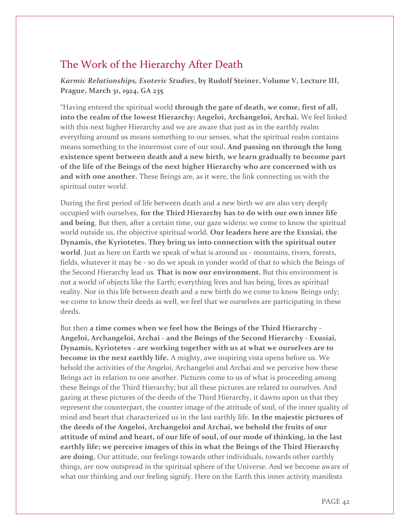# The Work of the Hierarchy After Death

*Karmic Relationships, Esoteric Studies***, by Rudolf Steiner, Volume V, Lecture III, Prague, March 31, 1924, GA 235** 

"Having entered the spiritual world **through the gate of death, we come, first of all, into the realm of the lowest Hierarchy: Angeloi, Archangeloi, Archai.** We feel linked with this next higher Hierarchy and we are aware that just as in the earthly realm everything around us means something to our senses, what the spiritual realm contains means something to the innermost core of our soul**. And passing on through the long existence spent between death and a new birth, we learn gradually to become part of the life of the Beings of the next higher Hierarchy who are concerned with us and with one another.** These Beings are, as it were, the link connecting us with the spiritual outer world.

During the first period of life between death and a new birth we are also very deeply occupied with ourselves, **for the Third Hierarchy has to do with our own inner life and being**. But then, after a certain time, our gaze widens: we come to know the spiritual world outside us, the objective spiritual world. **Our leaders here are the Exusiai, the Dynamis, the Kyriotetes. They bring us into connection with the spiritual outer world**. Just as here on Earth we speak of what is around us - mountains, rivers, forests, fields, whatever it may be - so do we speak in yonder world of that to which the Beings of the Second Hierarchy lead us. **That is now our environment.** But this environment is not a world of objects like the Earth; everything lives and has being, lives as spiritual reality. Nor in this life between death and a new birth do we come to know Beings only; we come to know their deeds as well, we feel that we ourselves are participating in these deeds.

But then **a time comes when we feel how the Beings of the Third Hierarchy - Angeloi, Archangeloi, Archai - and the Beings of the Second Hierarchy - Exusiai, Dynamis, Kyriotetes - are working together with us at what we ourselves are to become in the next earthly life.** A mighty, awe inspiring vista opens before us. We behold the activities of the Angeloi, Archangeloi and Archai and we perceive how these Beings act in relation to one another. Pictures come to us of what is proceeding among these Beings of the Third Hierarchy; but all these pictures are related to ourselves. And gazing at these pictures of the deeds of the Third Hierarchy, it dawns upon us that they represent the counterpart, the counter image of the attitude of soul, of the inner quality of mind and heart that characterized us in the last earthly life. **In the majestic pictures of the deeds of the Angeloi, Archangeloi and Archai, we behold the fruits of our attitude of mind and heart, of our life of soul, of our mode of thinking, in the last earthly life; we perceive images of this in what the Beings of the Third Hierarchy are doing.** Our attitude, our feelings towards other individuals, towards other earthly things, are now outspread in the spiritual sphere of the Universe. And we become aware of what our thinking and our feeling signify. Here on the Earth this inner activity manifests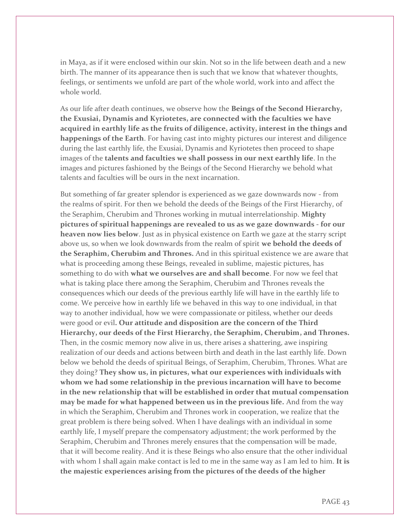in Maya, as if it were enclosed within our skin. Not so in the life between death and a new birth. The manner of its appearance then is such that we know that whatever thoughts, feelings, or sentiments we unfold are part of the whole world, work into and affect the whole world.

As our life after death continues, we observe how the **Beings of the Second Hierarchy, the Exusiai, Dynamis and Kyriotetes, are connected with the faculties we have acquired in earthly life as the fruits of diligence, activity, interest in the things and happenings of the Earth**. For having cast into mighty pictures our interest and diligence during the last earthly life, the Exusiai, Dynamis and Kyriotetes then proceed to shape images of the **talents and faculties we shall possess in our next earthly life**. In the images and pictures fashioned by the Beings of the Second Hierarchy we behold what talents and faculties will be ours in the next incarnation.

But something of far greater splendor is experienced as we gaze downwards now - from the realms of spirit. For then we behold the deeds of the Beings of the First Hierarchy, of the Seraphim, Cherubim and Thrones working in mutual interrelationship. **Mighty pictures of spiritual happenings are revealed to us as we gaze downwards - for our heaven now lies below**. Just as in physical existence on Earth we gaze at the starry script above us, so when we look downwards from the realm of spirit **we behold the deeds of the Seraphim, Cherubim and Thrones.** And in this spiritual existence we are aware that what is proceeding among these Beings, revealed in sublime, majestic pictures, has something to do with **what we ourselves are and shall become**. For now we feel that what is taking place there among the Seraphim, Cherubim and Thrones reveals the consequences which our deeds of the previous earthly life will have in the earthly life to come. We perceive how in earthly life we behaved in this way to one individual, in that way to another individual, how we were compassionate or pitiless, whether our deeds were good or evil**. Our attitude and disposition are the concern of the Third Hierarchy, our deeds of the First Hierarchy, the Seraphim, Cherubim, and Thrones.** Then, in the cosmic memory now alive in us, there arises a shattering, awe inspiring realization of our deeds and actions between birth and death in the last earthly life. Down below we behold the deeds of spiritual Beings, of Seraphim, Cherubim, Thrones. What are they doing? **They show us, in pictures, what our experiences with individuals with whom we had some relationship in the previous incarnation will have to become in the new relationship that will be established in order that mutual compensation may be made for what happened between us in the previous life.** And from the way in which the Seraphim, Cherubim and Thrones work in cooperation, we realize that the great problem is there being solved. When I have dealings with an individual in some earthly life, I myself prepare the compensatory adjustment; the work performed by the Seraphim, Cherubim and Thrones merely ensures that the compensation will be made, that it will become reality. And it is these Beings who also ensure that the other individual with whom I shall again make contact is led to me in the same way as I am led to him. **It is the majestic experiences arising from the pictures of the deeds of the higher**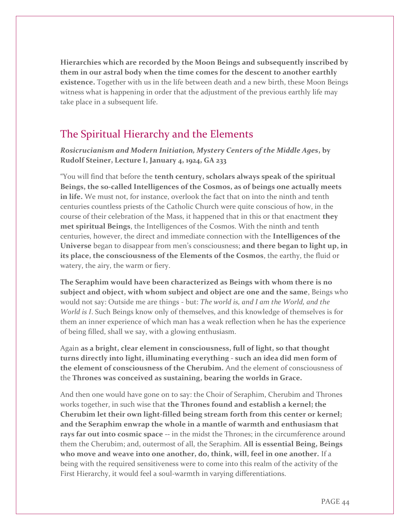**Hierarchies which are recorded by the Moon Beings and subsequently inscribed by them in our astral body when the time comes for the descent to another earthly existence.** Together with us in the life between death and a new birth, these Moon Beings witness what is happening in order that the adjustment of the previous earthly life may take place in a subsequent life.

# The Spiritual Hierarchy and the Elements

*Rosicrucianism and Modern Initiation, Mystery Centers of the Middle Ages***, by Rudolf Steiner, Lecture I, January 4, 1924, GA 233**

"You will find that before the **tenth century, scholars always speak of the spiritual Beings, the so-called Intelligences of the Cosmos, as of beings one actually meets in life.** We must not, for instance, overlook the fact that on into the ninth and tenth centuries countless priests of the Catholic Church were quite conscious of how, in the course of their celebration of the Mass, it happened that in this or that enactment **they met spiritual Beings**, the Intelligences of the Cosmos. With the ninth and tenth centuries, however, the direct and immediate connection with the **Intelligences of the Universe** began to disappear from men's consciousness; **and there began to light up, in its place, the consciousness of the Elements of the Cosmos**, the earthy, the fluid or watery, the airy, the warm or fiery.

**The Seraphim would have been characterized as Beings with whom there is no subject and object, with whom subject and object are one and the same**, Beings who would not say: Outside me are things - but: *The world is, and I am the World, and the World is I*. Such Beings know only of themselves, and this knowledge of themselves is for them an inner experience of which man has a weak reflection when he has the experience of being filled, shall we say, with a glowing enthusiasm.

Again **as a bright, clear element in consciousness, full of light, so that thought turns directly into light, illuminating everything - such an idea did men form of the element of consciousness of the Cherubim.** And the element of consciousness of the **Thrones was conceived as sustaining, bearing the worlds in Grace.**

And then one would have gone on to say: the Choir of Seraphim, Cherubim and Thrones works together, in such wise that **the Thrones found and establish a kernel; the Cherubim let their own light-filled being stream forth from this center or kernel; and the Seraphim enwrap the whole in a mantle of warmth and enthusiasm that rays far out into cosmic space --** in the midst the Thrones; in the circumference around them the Cherubim; and, outermost of all, the Seraphim. **All is essential Being, Beings who move and weave into one another, do, think, will, feel in one another.** If a being with the required sensitiveness were to come into this realm of the activity of the First Hierarchy, it would feel a soul-warmth in varying differentiations.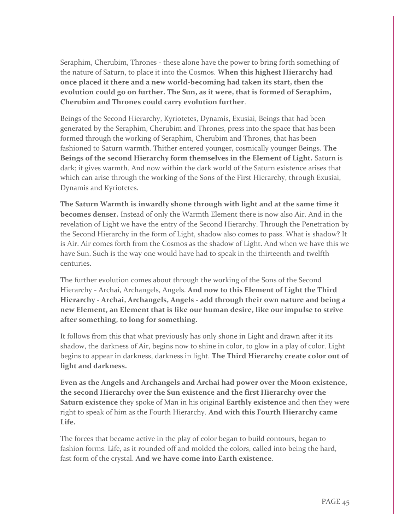Seraphim, Cherubim, Thrones - these alone have the power to bring forth something of the nature of Saturn, to place it into the Cosmos. **When this highest Hierarchy had once placed it there and a new world-becoming had taken its start, then the evolution could go on further. The Sun, as it were, that is formed of Seraphim, Cherubim and Thrones could carry evolution further**.

Beings of the Second Hierarchy, Kyriotetes, Dynamis, Exusiai, Beings that had been generated by the Seraphim, Cherubim and Thrones, press into the space that has been formed through the working of Seraphim, Cherubim and Thrones, that has been fashioned to Saturn warmth. Thither entered younger, cosmically younger Beings. **The Beings of the second Hierarchy form themselves in the Element of Light.** Saturn is dark; it gives warmth. And now within the dark world of the Saturn existence arises that which can arise through the working of the Sons of the First Hierarchy, through Exusiai, Dynamis and Kyriotetes.

**The Saturn Warmth is inwardly shone through with light and at the same time it becomes denser.** Instead of only the Warmth Element there is now also Air. And in the revelation of Light we have the entry of the Second Hierarchy. Through the Penetration by the Second Hierarchy in the form of Light, shadow also comes to pass. What is shadow? It is Air. Air comes forth from the Cosmos as the shadow of Light. And when we have this we have Sun. Such is the way one would have had to speak in the thirteenth and twelfth centuries.

The further evolution comes about through the working of the Sons of the Second Hierarchy - Archai, Archangels, Angels. **And now to this Element of Light the Third Hierarchy - Archai, Archangels, Angels - add through their own nature and being a new Element, an Element that is like our human desire, like our impulse to strive after something, to long for something.**

It follows from this that what previously has only shone in Light and drawn after it its shadow, the darkness of Air, begins now to shine in color, to glow in a play of color. Light begins to appear in darkness, darkness in light. **The Third Hierarchy create color out of light and darkness.**

**Even as the Angels and Archangels and Archai had power over the Moon existence, the second Hierarchy over the Sun existence and the first Hierarchy over the Saturn existence** they spoke of Man in his original **Earthly existence** and then they were right to speak of him as the Fourth Hierarchy. **And with this Fourth Hierarchy came Life.**

The forces that became active in the play of color began to build contours, began to fashion forms. Life, as it rounded off and molded the colors, called into being the hard, fast form of the crystal. **And we have come into Earth existence**.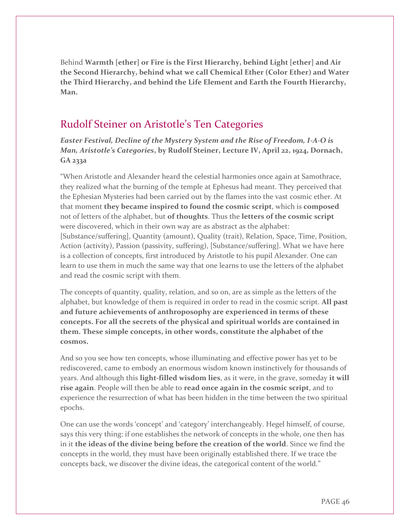Behind **Warmth [ether] or Fire is the First Hierarchy, behind Light [ether] and Air the Second Hierarchy, behind what we call Chemical Ether (Color Ether) and Water the Third Hierarchy, and behind the Life Element and Earth the Fourth Hierarchy, Man.**

# Rudolf Steiner on Aristotle's Ten Categories

*Easter Festival, Decline of the Mystery System and the Rise of Freedom, I-A-O is Man, Aristotle's Categories***, by Rudolf Steiner, Lecture IV, April 22, 1924, Dornach, GA 233a**

"When Aristotle and Alexander heard the celestial harmonies once again at Samothrace, they realized what the burning of the temple at Ephesus had meant. They perceived that the Ephesian Mysteries had been carried out by the flames into the vast cosmic ether. At that moment **they became inspired to found the cosmic script**, which is **composed** not of letters of the alphabet, but **of thoughts**. Thus the **letters of the cosmic script** were discovered, which in their own way are as abstract as the alphabet: [Substance/suffering], Quantity (amount), Quality (trait), Relation, Space, Time, Position, Action (activity), Passion (passivity, suffering), [Substance/suffering]. What we have here is a collection of concepts, first introduced by Aristotle to his pupil Alexander. One can learn to use them in much the same way that one learns to use the letters of the alphabet and read the cosmic script with them.

The concepts of quantity, quality, relation, and so on, are as simple as the letters of the alphabet, but knowledge of them is required in order to read in the cosmic script. **All past and future achievements of anthroposophy are experienced in terms of these concepts. For all the secrets of the physical and spiritual worlds are contained in them. These simple concepts, in other words, constitute the alphabet of the cosmos.**

And so you see how ten concepts, whose illuminating and effective power has yet to be rediscovered, came to embody an enormous wisdom known instinctively for thousands of years. And although this **light-filled wisdom lies**, as it were, in the grave, someday **it will rise again**. People will then be able to **read once again in the cosmic script**, and to experience the resurrection of what has been hidden in the time between the two spiritual epochs.

One can use the words 'concept' and 'category' interchangeably. Hegel himself, of course, says this very thing: if one establishes the network of concepts in the whole, one then has in it **the ideas of the divine being before the creation of the world**. Since we find the concepts in the world, they must have been originally established there. If we trace the concepts back, we discover the divine ideas, the categorical content of the world."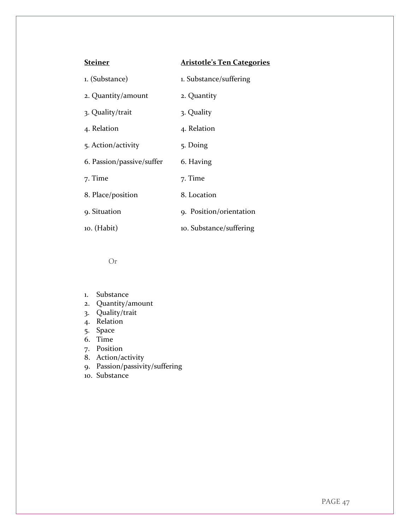| <b>Steiner</b>            | <b>Aristotle's Ten Categories</b> |
|---------------------------|-----------------------------------|
| 1. (Substance)            | 1. Substance/suffering            |
| 2. Quantity/amount        | 2. Quantity                       |
| 3. Quality/trait          | 3. Quality                        |
| 4. Relation               | 4. Relation                       |
| 5. Action/activity        | 5. Doing                          |
| 6. Passion/passive/suffer | 6. Having                         |
| 7. Time                   | 7. Time                           |
| 8. Place/position         | 8. Location                       |
| 9. Situation              | 9. Position/orientation           |
| 10. (Habit)               | 10. Substance/suffering           |

Or

- 1. Substance
- 2. Quantity/amount
- 3. Quality/trait
- 4. Relation
- 5. Space
- 6. Time
- 7. Position
- 8. Action/activity
- 9. Passion/passivity/suffering
- 10. Substance